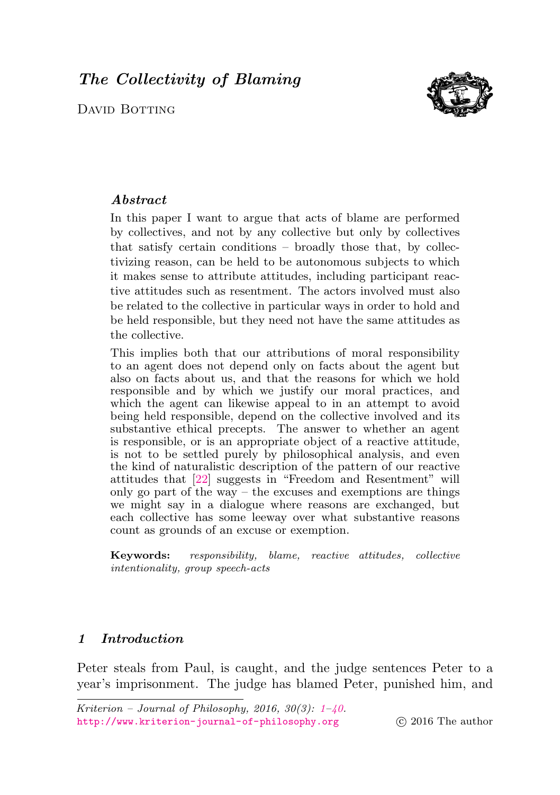# <span id="page-0-0"></span>The Collectivity of Blaming

David Botting



# Abstract

In this paper I want to argue that acts of blame are performed by collectives, and not by any collective but only by collectives that satisfy certain conditions – broadly those that, by collectivizing reason, can be held to be autonomous subjects to which it makes sense to attribute attitudes, including participant reactive attitudes such as resentment. The actors involved must also be related to the collective in particular ways in order to hold and be held responsible, but they need not have the same attitudes as the collective.

This implies both that our attributions of moral responsibility to an agent does not depend only on facts about the agent but also on facts about us, and that the reasons for which we hold responsible and by which we justify our moral practices, and which the agent can likewise appeal to in an attempt to avoid being held responsible, depend on the collective involved and its substantive ethical precepts. The answer to whether an agent is responsible, or is an appropriate object of a reactive attitude, is not to be settled purely by philosophical analysis, and even the kind of naturalistic description of the pattern of our reactive attitudes that [\[22\]](#page-37-0) suggests in "Freedom and Resentment" will only go part of the way – the excuses and exemptions are things we might say in a dialogue where reasons are exchanged, but each collective has some leeway over what substantive reasons count as grounds of an excuse or exemption.

Keywords: responsibility, blame, reactive attitudes, collective intentionality, group speech-acts

# 1 Introduction

Peter steals from Paul, is caught, and the judge sentences Peter to a year's imprisonment. The judge has blamed Peter, punished him, and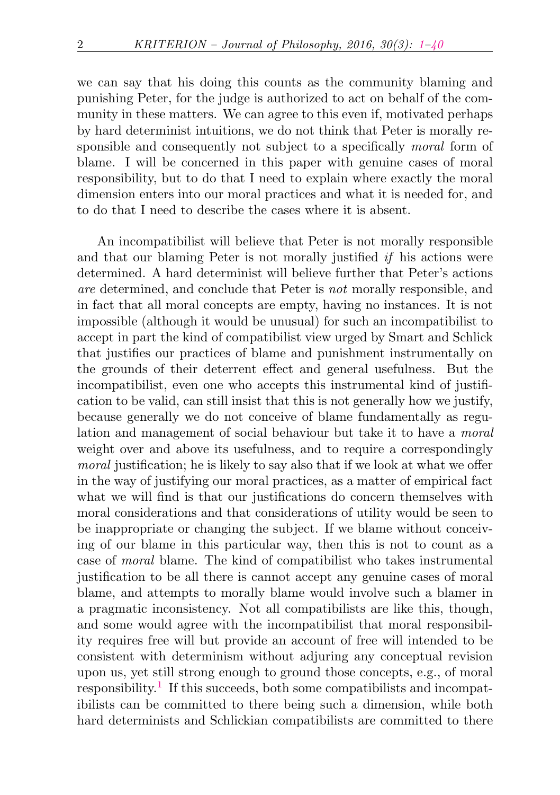we can say that his doing this counts as the community blaming and punishing Peter, for the judge is authorized to act on behalf of the community in these matters. We can agree to this even if, motivated perhaps by hard determinist intuitions, we do not think that Peter is morally responsible and consequently not subject to a specifically *moral* form of blame. I will be concerned in this paper with genuine cases of moral responsibility, but to do that I need to explain where exactly the moral dimension enters into our moral practices and what it is needed for, and to do that I need to describe the cases where it is absent.

<span id="page-1-0"></span>An incompatibilist will believe that Peter is not morally responsible and that our blaming Peter is not morally justified if his actions were determined. A hard determinist will believe further that Peter's actions are determined, and conclude that Peter is not morally responsible, and in fact that all moral concepts are empty, having no instances. It is not impossible (although it would be unusual) for such an incompatibilist to accept in part the kind of compatibilist view urged by Smart and Schlick that justifies our practices of blame and punishment instrumentally on the grounds of their deterrent effect and general usefulness. But the incompatibilist, even one who accepts this instrumental kind of justification to be valid, can still insist that this is not generally how we justify, because generally we do not conceive of blame fundamentally as regulation and management of social behaviour but take it to have a moral weight over and above its usefulness, and to require a correspondingly moral justification; he is likely to say also that if we look at what we offer in the way of justifying our moral practices, as a matter of empirical fact what we will find is that our justifications do concern themselves with moral considerations and that considerations of utility would be seen to be inappropriate or changing the subject. If we blame without conceiving of our blame in this particular way, then this is not to count as a case of moral blame. The kind of compatibilist who takes instrumental justification to be all there is cannot accept any genuine cases of moral blame, and attempts to morally blame would involve such a blamer in a pragmatic inconsistency. Not all compatibilists are like this, though, and some would agree with the incompatibilist that moral responsibility requires free will but provide an account of free will intended to be consistent with determinism without adjuring any conceptual revision upon us, yet still strong enough to ground those concepts, e.g., of moral  $r$ esponsibility.<sup>[1](#page-31-0)</sup> If this succeeds, both some compatibilists and incompatibilists can be committed to there being such a dimension, while both hard determinists and Schlickian compatibilists are committed to there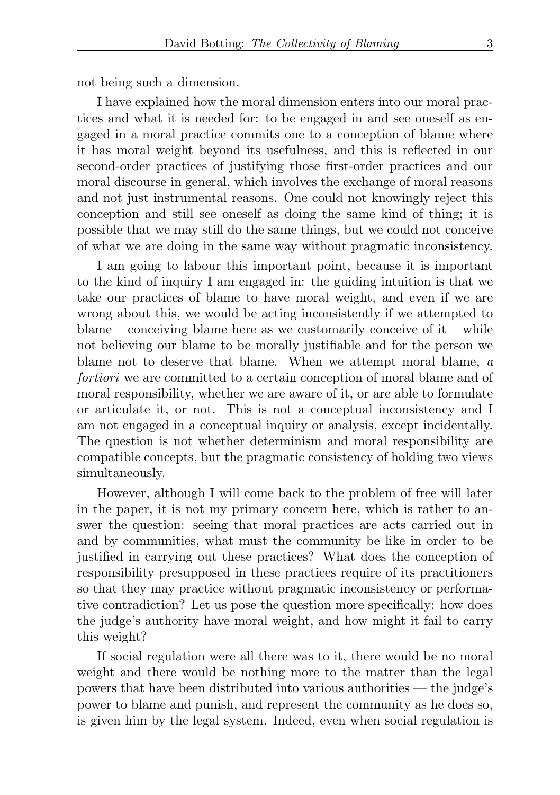not being such a dimension.

I have explained how the moral dimension enters into our moral practices and what it is needed for: to be engaged in and see oneself as engaged in a moral practice commits one to a conception of blame where it has moral weight beyond its usefulness, and this is reflected in our second-order practices of justifying those first-order practices and our moral discourse in general, which involves the exchange of moral reasons and not just instrumental reasons. One could not knowingly reject this conception and still see oneself as doing the same kind of thing; it is possible that we may still do the same things, but we could not conceive of what we are doing in the same way without pragmatic inconsistency.

I am going to labour this important point, because it is important to the kind of inquiry I am engaged in: the guiding intuition is that we take our practices of blame to have moral weight, and even if we are wrong about this, we would be acting inconsistently if we attempted to blame – conceiving blame here as we customarily conceive of  $it$  – while not believing our blame to be morally justifiable and for the person we blame not to deserve that blame. When we attempt moral blame, a fortiori we are committed to a certain conception of moral blame and of moral responsibility, whether we are aware of it, or are able to formulate or articulate it, or not. This is not a conceptual inconsistency and I am not engaged in a conceptual inquiry or analysis, except incidentally. The question is not whether determinism and moral responsibility are compatible concepts, but the pragmatic consistency of holding two views simultaneously.

However, although I will come back to the problem of free will later in the paper, it is not my primary concern here, which is rather to answer the question: seeing that moral practices are acts carried out in and by communities, what must the community be like in order to be justified in carrying out these practices? What does the conception of responsibility presupposed in these practices require of its practitioners so that they may practice without pragmatic inconsistency or performative contradiction? Let us pose the question more specifically: how does the judge's authority have moral weight, and how might it fail to carry this weight?

If social regulation were all there was to it, there would be no moral weight and there would be nothing more to the matter than the legal powers that have been distributed into various authorities — the judge's power to blame and punish, and represent the community as he does so, is given him by the legal system. Indeed, even when social regulation is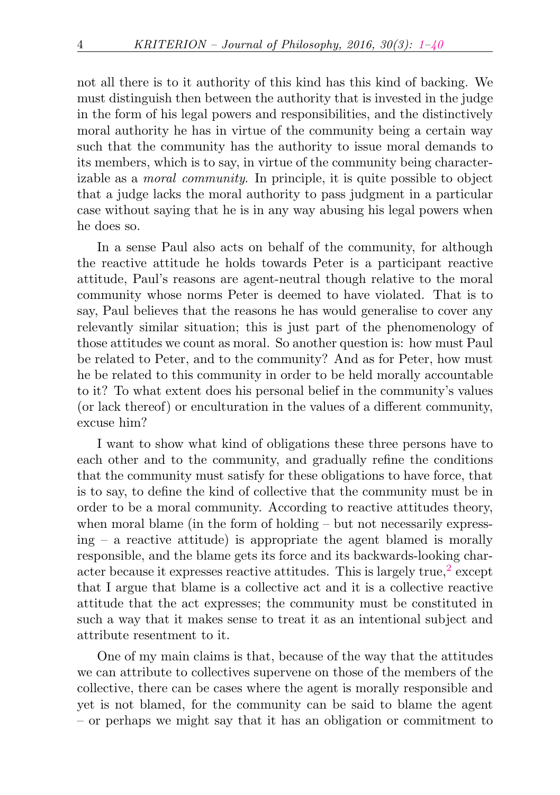not all there is to it authority of this kind has this kind of backing. We must distinguish then between the authority that is invested in the judge in the form of his legal powers and responsibilities, and the distinctively moral authority he has in virtue of the community being a certain way such that the community has the authority to issue moral demands to its members, which is to say, in virtue of the community being characterizable as a moral community. In principle, it is quite possible to object that a judge lacks the moral authority to pass judgment in a particular case without saying that he is in any way abusing his legal powers when he does so.

In a sense Paul also acts on behalf of the community, for although the reactive attitude he holds towards Peter is a participant reactive attitude, Paul's reasons are agent-neutral though relative to the moral community whose norms Peter is deemed to have violated. That is to say, Paul believes that the reasons he has would generalise to cover any relevantly similar situation; this is just part of the phenomenology of those attitudes we count as moral. So another question is: how must Paul be related to Peter, and to the community? And as for Peter, how must he be related to this community in order to be held morally accountable to it? To what extent does his personal belief in the community's values (or lack thereof) or enculturation in the values of a different community, excuse him?

I want to show what kind of obligations these three persons have to each other and to the community, and gradually refine the conditions that the community must satisfy for these obligations to have force, that is to say, to define the kind of collective that the community must be in order to be a moral community. According to reactive attitudes theory, when moral blame (in the form of holding – but not necessarily express $ing - a$  reactive attitude) is appropriate the agent blamed is morally responsible, and the blame gets its force and its backwards-looking char-acter because it expresses reactive attitudes. This is largely true,<sup>[2](#page-31-1)</sup> except that I argue that blame is a collective act and it is a collective reactive attitude that the act expresses; the community must be constituted in such a way that it makes sense to treat it as an intentional subject and attribute resentment to it.

<span id="page-3-0"></span>One of my main claims is that, because of the way that the attitudes we can attribute to collectives supervene on those of the members of the collective, there can be cases where the agent is morally responsible and yet is not blamed, for the community can be said to blame the agent – or perhaps we might say that it has an obligation or commitment to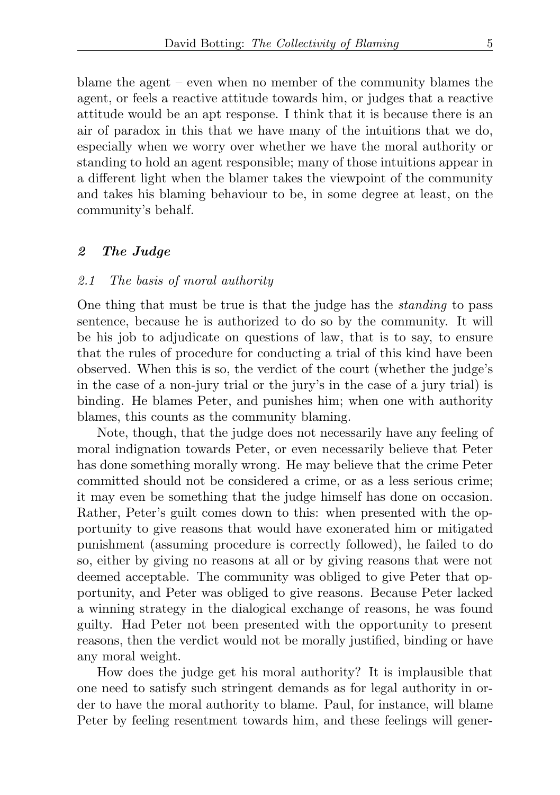blame the agent – even when no member of the community blames the agent, or feels a reactive attitude towards him, or judges that a reactive attitude would be an apt response. I think that it is because there is an air of paradox in this that we have many of the intuitions that we do, especially when we worry over whether we have the moral authority or standing to hold an agent responsible; many of those intuitions appear in a different light when the blamer takes the viewpoint of the community and takes his blaming behaviour to be, in some degree at least, on the community's behalf.

### 2 The Judge

### 2.1 The basis of moral authority

One thing that must be true is that the judge has the standing to pass sentence, because he is authorized to do so by the community. It will be his job to adjudicate on questions of law, that is to say, to ensure that the rules of procedure for conducting a trial of this kind have been observed. When this is so, the verdict of the court (whether the judge's in the case of a non-jury trial or the jury's in the case of a jury trial) is binding. He blames Peter, and punishes him; when one with authority blames, this counts as the community blaming.

Note, though, that the judge does not necessarily have any feeling of moral indignation towards Peter, or even necessarily believe that Peter has done something morally wrong. He may believe that the crime Peter committed should not be considered a crime, or as a less serious crime; it may even be something that the judge himself has done on occasion. Rather, Peter's guilt comes down to this: when presented with the opportunity to give reasons that would have exonerated him or mitigated punishment (assuming procedure is correctly followed), he failed to do so, either by giving no reasons at all or by giving reasons that were not deemed acceptable. The community was obliged to give Peter that opportunity, and Peter was obliged to give reasons. Because Peter lacked a winning strategy in the dialogical exchange of reasons, he was found guilty. Had Peter not been presented with the opportunity to present reasons, then the verdict would not be morally justified, binding or have any moral weight.

How does the judge get his moral authority? It is implausible that one need to satisfy such stringent demands as for legal authority in order to have the moral authority to blame. Paul, for instance, will blame Peter by feeling resentment towards him, and these feelings will gener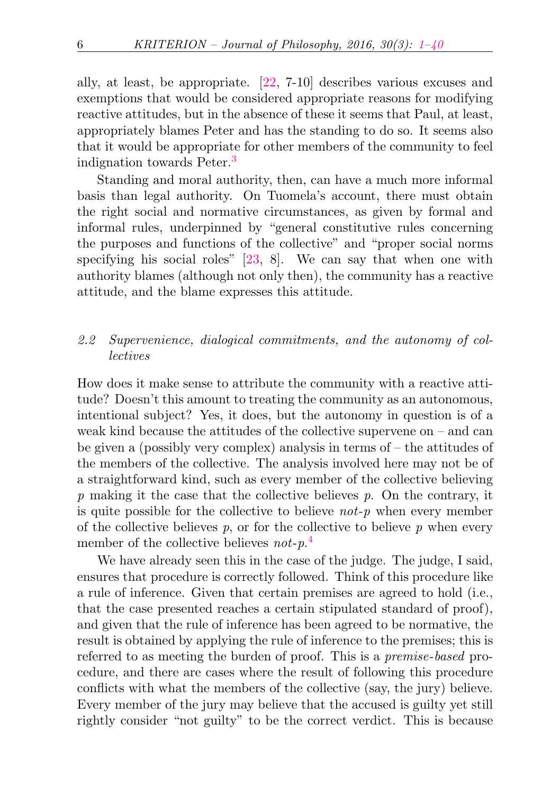ally, at least, be appropriate. [\[22,](#page-37-0) 7-10] describes various excuses and exemptions that would be considered appropriate reasons for modifying reactive attitudes, but in the absence of these it seems that Paul, at least, appropriately blames Peter and has the standing to do so. It seems also that it would be appropriate for other members of the community to feel indignation towards Peter.[3](#page-31-2)

<span id="page-5-0"></span>Standing and moral authority, then, can have a much more informal basis than legal authority. On Tuomela's account, there must obtain the right social and normative circumstances, as given by formal and informal rules, underpinned by "general constitutive rules concerning the purposes and functions of the collective" and "proper social norms specifying his social roles" [\[23,](#page-38-0) 8]. We can say that when one with authority blames (although not only then), the community has a reactive attitude, and the blame expresses this attitude.

# 2.2 Supervenience, dialogical commitments, and the autonomy of collectives

How does it make sense to attribute the community with a reactive attitude? Doesn't this amount to treating the community as an autonomous, intentional subject? Yes, it does, but the autonomy in question is of a weak kind because the attitudes of the collective supervene on – and can be given a (possibly very complex) analysis in terms of – the attitudes of the members of the collective. The analysis involved here may not be of a straightforward kind, such as every member of the collective believing  $p$  making it the case that the collective believes  $p$ . On the contrary, it is quite possible for the collective to believe  $not-p$  when every member of the collective believes  $p$ , or for the collective to believe  $p$  when every member of the collective believes not-p.<sup>[4](#page-32-0)</sup>

<span id="page-5-1"></span>We have already seen this in the case of the judge. The judge, I said, ensures that procedure is correctly followed. Think of this procedure like a rule of inference. Given that certain premises are agreed to hold (i.e., that the case presented reaches a certain stipulated standard of proof), and given that the rule of inference has been agreed to be normative, the result is obtained by applying the rule of inference to the premises; this is referred to as meeting the burden of proof. This is a premise-based procedure, and there are cases where the result of following this procedure conflicts with what the members of the collective (say, the jury) believe. Every member of the jury may believe that the accused is guilty yet still rightly consider "not guilty" to be the correct verdict. This is because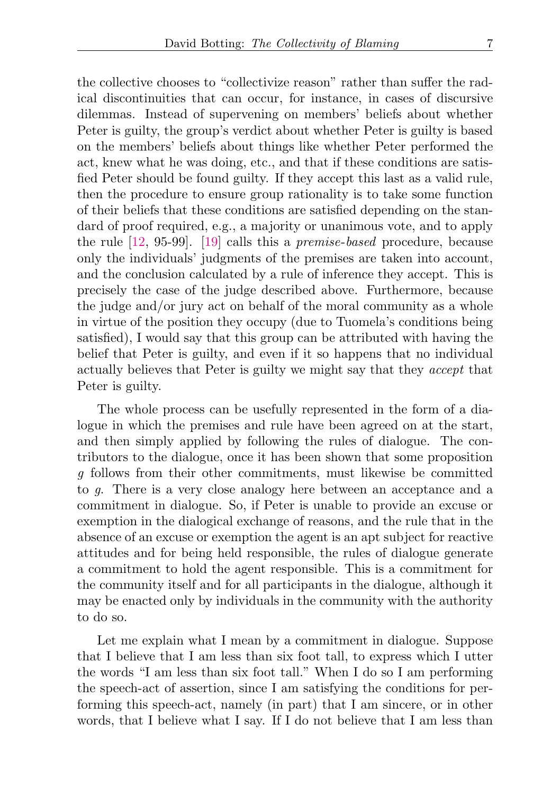the collective chooses to "collectivize reason" rather than suffer the radical discontinuities that can occur, for instance, in cases of discursive dilemmas. Instead of supervening on members' beliefs about whether Peter is guilty, the group's verdict about whether Peter is guilty is based on the members' beliefs about things like whether Peter performed the act, knew what he was doing, etc., and that if these conditions are satisfied Peter should be found guilty. If they accept this last as a valid rule, then the procedure to ensure group rationality is to take some function of their beliefs that these conditions are satisfied depending on the standard of proof required, e.g., a majority or unanimous vote, and to apply the rule [\[12,](#page-37-1) 95-99]. [\[19\]](#page-37-2) calls this a premise-based procedure, because only the individuals' judgments of the premises are taken into account, and the conclusion calculated by a rule of inference they accept. This is precisely the case of the judge described above. Furthermore, because the judge and/or jury act on behalf of the moral community as a whole in virtue of the position they occupy (due to Tuomela's conditions being satisfied), I would say that this group can be attributed with having the belief that Peter is guilty, and even if it so happens that no individual actually believes that Peter is guilty we might say that they accept that Peter is guilty.

The whole process can be usefully represented in the form of a dialogue in which the premises and rule have been agreed on at the start, and then simply applied by following the rules of dialogue. The contributors to the dialogue, once it has been shown that some proposition g follows from their other commitments, must likewise be committed to g. There is a very close analogy here between an acceptance and a commitment in dialogue. So, if Peter is unable to provide an excuse or exemption in the dialogical exchange of reasons, and the rule that in the absence of an excuse or exemption the agent is an apt subject for reactive attitudes and for being held responsible, the rules of dialogue generate a commitment to hold the agent responsible. This is a commitment for the community itself and for all participants in the dialogue, although it may be enacted only by individuals in the community with the authority to do so.

Let me explain what I mean by a commitment in dialogue. Suppose that I believe that I am less than six foot tall, to express which I utter the words "I am less than six foot tall." When I do so I am performing the speech-act of assertion, since I am satisfying the conditions for performing this speech-act, namely (in part) that I am sincere, or in other words, that I believe what I say. If I do not believe that I am less than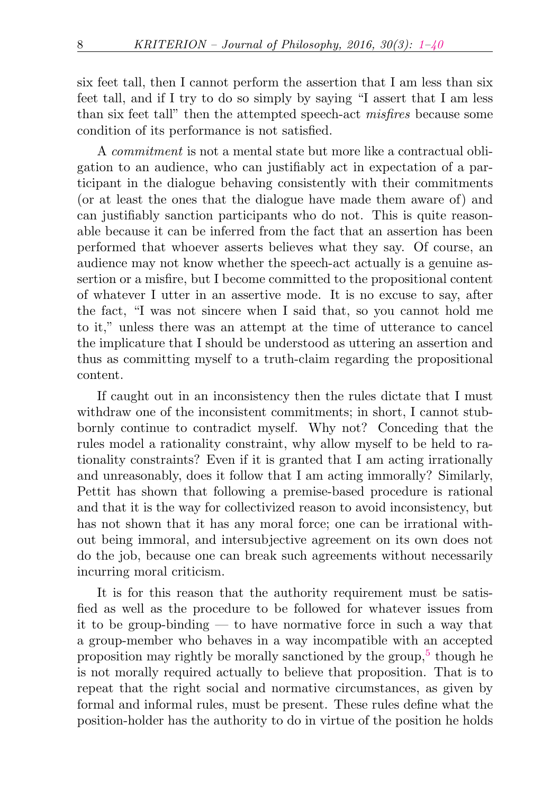six feet tall, then I cannot perform the assertion that I am less than six feet tall, and if I try to do so simply by saying "I assert that I am less than six feet tall" then the attempted speech-act misfires because some condition of its performance is not satisfied.

A commitment is not a mental state but more like a contractual obligation to an audience, who can justifiably act in expectation of a participant in the dialogue behaving consistently with their commitments (or at least the ones that the dialogue have made them aware of) and can justifiably sanction participants who do not. This is quite reasonable because it can be inferred from the fact that an assertion has been performed that whoever asserts believes what they say. Of course, an audience may not know whether the speech-act actually is a genuine assertion or a misfire, but I become committed to the propositional content of whatever I utter in an assertive mode. It is no excuse to say, after the fact, "I was not sincere when I said that, so you cannot hold me to it," unless there was an attempt at the time of utterance to cancel the implicature that I should be understood as uttering an assertion and thus as committing myself to a truth-claim regarding the propositional content.

If caught out in an inconsistency then the rules dictate that I must withdraw one of the inconsistent commitments; in short, I cannot stubbornly continue to contradict myself. Why not? Conceding that the rules model a rationality constraint, why allow myself to be held to rationality constraints? Even if it is granted that I am acting irrationally and unreasonably, does it follow that I am acting immorally? Similarly, Pettit has shown that following a premise-based procedure is rational and that it is the way for collectivized reason to avoid inconsistency, but has not shown that it has any moral force; one can be irrational without being immoral, and intersubjective agreement on its own does not do the job, because one can break such agreements without necessarily incurring moral criticism.

<span id="page-7-0"></span>It is for this reason that the authority requirement must be satisfied as well as the procedure to be followed for whatever issues from it to be group-binding — to have normative force in such a way that a group-member who behaves in a way incompatible with an accepted proposition may rightly be morally sanctioned by the group,<sup>[5](#page-32-1)</sup> though he is not morally required actually to believe that proposition. That is to repeat that the right social and normative circumstances, as given by formal and informal rules, must be present. These rules define what the position-holder has the authority to do in virtue of the position he holds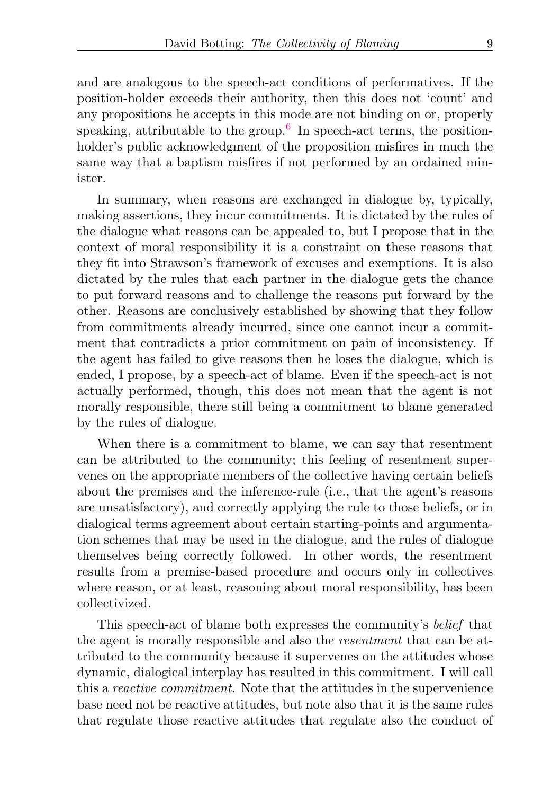<span id="page-8-0"></span>and are analogous to the speech-act conditions of performatives. If the position-holder exceeds their authority, then this does not 'count' and any propositions he accepts in this mode are not binding on or, properly speaking, attributable to the group.<sup>[6](#page-33-0)</sup> In speech-act terms, the positionholder's public acknowledgment of the proposition misfires in much the same way that a baptism misfires if not performed by an ordained minister.

In summary, when reasons are exchanged in dialogue by, typically, making assertions, they incur commitments. It is dictated by the rules of the dialogue what reasons can be appealed to, but I propose that in the context of moral responsibility it is a constraint on these reasons that they fit into Strawson's framework of excuses and exemptions. It is also dictated by the rules that each partner in the dialogue gets the chance to put forward reasons and to challenge the reasons put forward by the other. Reasons are conclusively established by showing that they follow from commitments already incurred, since one cannot incur a commitment that contradicts a prior commitment on pain of inconsistency. If the agent has failed to give reasons then he loses the dialogue, which is ended, I propose, by a speech-act of blame. Even if the speech-act is not actually performed, though, this does not mean that the agent is not morally responsible, there still being a commitment to blame generated by the rules of dialogue.

When there is a commitment to blame, we can say that resentment can be attributed to the community; this feeling of resentment supervenes on the appropriate members of the collective having certain beliefs about the premises and the inference-rule (i.e., that the agent's reasons are unsatisfactory), and correctly applying the rule to those beliefs, or in dialogical terms agreement about certain starting-points and argumentation schemes that may be used in the dialogue, and the rules of dialogue themselves being correctly followed. In other words, the resentment results from a premise-based procedure and occurs only in collectives where reason, or at least, reasoning about moral responsibility, has been collectivized.

This speech-act of blame both expresses the community's belief that the agent is morally responsible and also the resentment that can be attributed to the community because it supervenes on the attitudes whose dynamic, dialogical interplay has resulted in this commitment. I will call this a reactive commitment. Note that the attitudes in the supervenience base need not be reactive attitudes, but note also that it is the same rules that regulate those reactive attitudes that regulate also the conduct of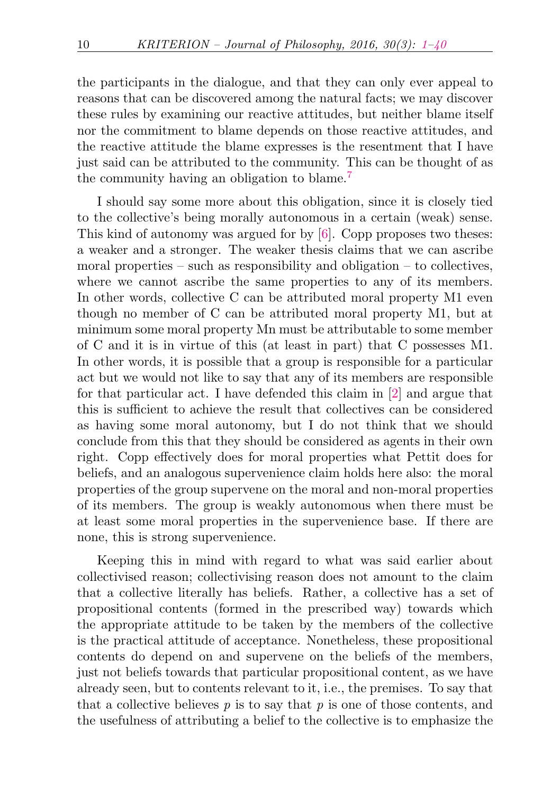the participants in the dialogue, and that they can only ever appeal to reasons that can be discovered among the natural facts; we may discover these rules by examining our reactive attitudes, but neither blame itself nor the commitment to blame depends on those reactive attitudes, and the reactive attitude the blame expresses is the resentment that I have just said can be attributed to the community. This can be thought of as the community having an obligation to blame.[7](#page-33-1)

<span id="page-9-0"></span>I should say some more about this obligation, since it is closely tied to the collective's being morally autonomous in a certain (weak) sense. This kind of autonomy was argued for by [\[6\]](#page-36-1). Copp proposes two theses: a weaker and a stronger. The weaker thesis claims that we can ascribe moral properties – such as responsibility and obligation – to collectives, where we cannot ascribe the same properties to any of its members. In other words, collective C can be attributed moral property M1 even though no member of C can be attributed moral property M1, but at minimum some moral property Mn must be attributable to some member of C and it is in virtue of this (at least in part) that C possesses M1. In other words, it is possible that a group is responsible for a particular act but we would not like to say that any of its members are responsible for that particular act. I have defended this claim in [\[2\]](#page-36-2) and argue that this is sufficient to achieve the result that collectives can be considered as having some moral autonomy, but I do not think that we should conclude from this that they should be considered as agents in their own right. Copp effectively does for moral properties what Pettit does for beliefs, and an analogous supervenience claim holds here also: the moral properties of the group supervene on the moral and non-moral properties of its members. The group is weakly autonomous when there must be at least some moral properties in the supervenience base. If there are none, this is strong supervenience.

Keeping this in mind with regard to what was said earlier about collectivised reason; collectivising reason does not amount to the claim that a collective literally has beliefs. Rather, a collective has a set of propositional contents (formed in the prescribed way) towards which the appropriate attitude to be taken by the members of the collective is the practical attitude of acceptance. Nonetheless, these propositional contents do depend on and supervene on the beliefs of the members, just not beliefs towards that particular propositional content, as we have already seen, but to contents relevant to it, i.e., the premises. To say that that a collective believes  $p$  is to say that  $p$  is one of those contents, and the usefulness of attributing a belief to the collective is to emphasize the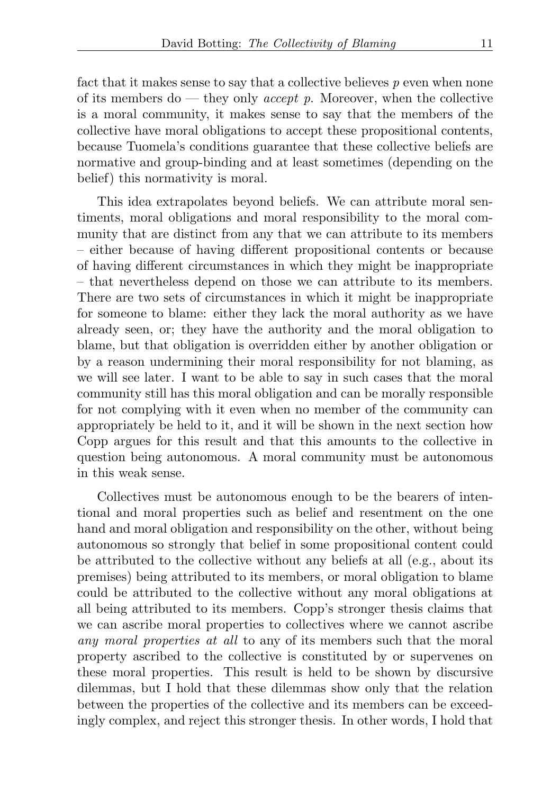fact that it makes sense to say that a collective believes  $p$  even when none of its members do — they only *accept p*. Moreover, when the collective is a moral community, it makes sense to say that the members of the collective have moral obligations to accept these propositional contents, because Tuomela's conditions guarantee that these collective beliefs are normative and group-binding and at least sometimes (depending on the belief) this normativity is moral.

This idea extrapolates beyond beliefs. We can attribute moral sentiments, moral obligations and moral responsibility to the moral community that are distinct from any that we can attribute to its members – either because of having different propositional contents or because of having different circumstances in which they might be inappropriate – that nevertheless depend on those we can attribute to its members. There are two sets of circumstances in which it might be inappropriate for someone to blame: either they lack the moral authority as we have already seen, or; they have the authority and the moral obligation to blame, but that obligation is overridden either by another obligation or by a reason undermining their moral responsibility for not blaming, as we will see later. I want to be able to say in such cases that the moral community still has this moral obligation and can be morally responsible for not complying with it even when no member of the community can appropriately be held to it, and it will be shown in the next section how Copp argues for this result and that this amounts to the collective in question being autonomous. A moral community must be autonomous in this weak sense.

Collectives must be autonomous enough to be the bearers of intentional and moral properties such as belief and resentment on the one hand and moral obligation and responsibility on the other, without being autonomous so strongly that belief in some propositional content could be attributed to the collective without any beliefs at all (e.g., about its premises) being attributed to its members, or moral obligation to blame could be attributed to the collective without any moral obligations at all being attributed to its members. Copp's stronger thesis claims that we can ascribe moral properties to collectives where we cannot ascribe any moral properties at all to any of its members such that the moral property ascribed to the collective is constituted by or supervenes on these moral properties. This result is held to be shown by discursive dilemmas, but I hold that these dilemmas show only that the relation between the properties of the collective and its members can be exceedingly complex, and reject this stronger thesis. In other words, I hold that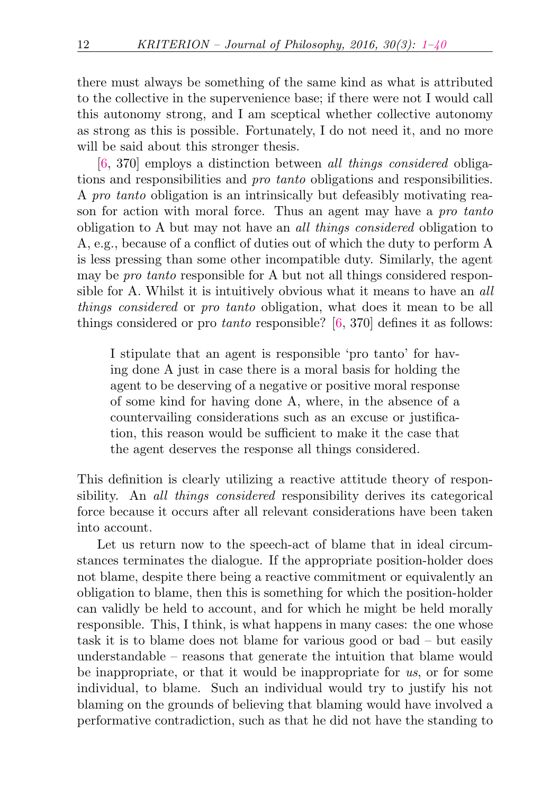there must always be something of the same kind as what is attributed to the collective in the supervenience base; if there were not I would call this autonomy strong, and I am sceptical whether collective autonomy as strong as this is possible. Fortunately, I do not need it, and no more will be said about this stronger thesis.

[\[6,](#page-36-1) 370] employs a distinction between all things considered obligations and responsibilities and pro tanto obligations and responsibilities. A pro tanto obligation is an intrinsically but defeasibly motivating reason for action with moral force. Thus an agent may have a pro tanto obligation to A but may not have an all things considered obligation to A, e.g., because of a conflict of duties out of which the duty to perform A is less pressing than some other incompatible duty. Similarly, the agent may be pro tanto responsible for A but not all things considered responsible for A. Whilst it is intuitively obvious what it means to have an all things considered or pro tanto obligation, what does it mean to be all things considered or pro *tanto* responsible?  $[6, 370]$  $[6, 370]$  defines it as follows:

I stipulate that an agent is responsible 'pro tanto' for having done A just in case there is a moral basis for holding the agent to be deserving of a negative or positive moral response of some kind for having done A, where, in the absence of a countervailing considerations such as an excuse or justification, this reason would be sufficient to make it the case that the agent deserves the response all things considered.

This definition is clearly utilizing a reactive attitude theory of responsibility. An all things considered responsibility derives its categorical force because it occurs after all relevant considerations have been taken into account.

Let us return now to the speech-act of blame that in ideal circumstances terminates the dialogue. If the appropriate position-holder does not blame, despite there being a reactive commitment or equivalently an obligation to blame, then this is something for which the position-holder can validly be held to account, and for which he might be held morally responsible. This, I think, is what happens in many cases: the one whose task it is to blame does not blame for various good or bad – but easily understandable – reasons that generate the intuition that blame would be inappropriate, or that it would be inappropriate for us, or for some individual, to blame. Such an individual would try to justify his not blaming on the grounds of believing that blaming would have involved a performative contradiction, such as that he did not have the standing to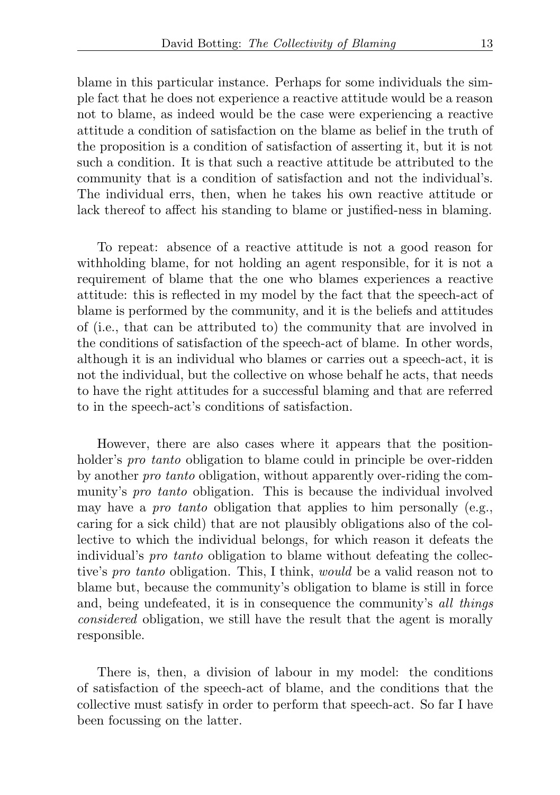blame in this particular instance. Perhaps for some individuals the simple fact that he does not experience a reactive attitude would be a reason not to blame, as indeed would be the case were experiencing a reactive attitude a condition of satisfaction on the blame as belief in the truth of the proposition is a condition of satisfaction of asserting it, but it is not such a condition. It is that such a reactive attitude be attributed to the community that is a condition of satisfaction and not the individual's. The individual errs, then, when he takes his own reactive attitude or lack thereof to affect his standing to blame or justified-ness in blaming.

To repeat: absence of a reactive attitude is not a good reason for withholding blame, for not holding an agent responsible, for it is not a requirement of blame that the one who blames experiences a reactive attitude: this is reflected in my model by the fact that the speech-act of blame is performed by the community, and it is the beliefs and attitudes of (i.e., that can be attributed to) the community that are involved in the conditions of satisfaction of the speech-act of blame. In other words, although it is an individual who blames or carries out a speech-act, it is not the individual, but the collective on whose behalf he acts, that needs to have the right attitudes for a successful blaming and that are referred to in the speech-act's conditions of satisfaction.

However, there are also cases where it appears that the positionholder's *pro tanto* obligation to blame could in principle be over-ridden by another pro tanto obligation, without apparently over-riding the community's pro tanto obligation. This is because the individual involved may have a *pro tanto* obligation that applies to him personally (e.g., caring for a sick child) that are not plausibly obligations also of the collective to which the individual belongs, for which reason it defeats the individual's pro tanto obligation to blame without defeating the collective's pro tanto obligation. This, I think, would be a valid reason not to blame but, because the community's obligation to blame is still in force and, being undefeated, it is in consequence the community's all things considered obligation, we still have the result that the agent is morally responsible.

There is, then, a division of labour in my model: the conditions of satisfaction of the speech-act of blame, and the conditions that the collective must satisfy in order to perform that speech-act. So far I have been focussing on the latter.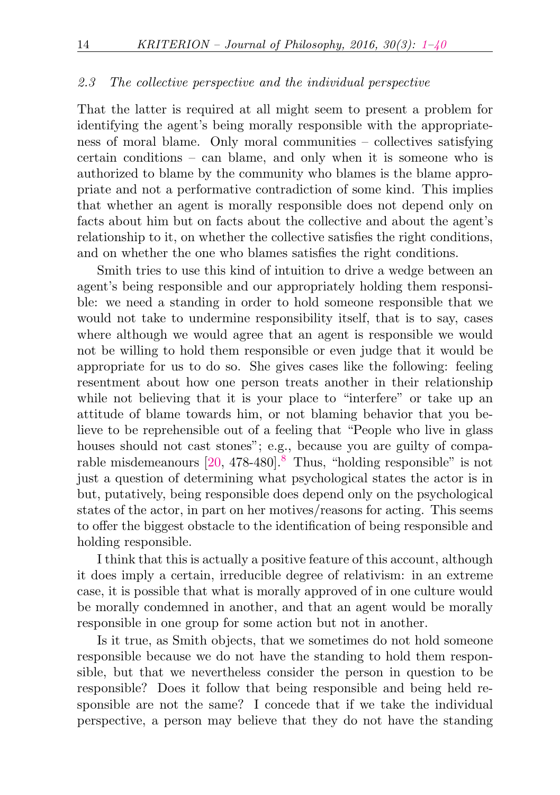### 2.3 The collective perspective and the individual perspective

That the latter is required at all might seem to present a problem for identifying the agent's being morally responsible with the appropriateness of moral blame. Only moral communities – collectives satisfying certain conditions – can blame, and only when it is someone who is authorized to blame by the community who blames is the blame appropriate and not a performative contradiction of some kind. This implies that whether an agent is morally responsible does not depend only on facts about him but on facts about the collective and about the agent's relationship to it, on whether the collective satisfies the right conditions, and on whether the one who blames satisfies the right conditions.

Smith tries to use this kind of intuition to drive a wedge between an agent's being responsible and our appropriately holding them responsible: we need a standing in order to hold someone responsible that we would not take to undermine responsibility itself, that is to say, cases where although we would agree that an agent is responsible we would not be willing to hold them responsible or even judge that it would be appropriate for us to do so. She gives cases like the following: feeling resentment about how one person treats another in their relationship while not believing that it is your place to "interfere" or take up an attitude of blame towards him, or not blaming behavior that you believe to be reprehensible out of a feeling that "People who live in glass houses should not cast stones"; e.g., because you are guilty of comparable misdemeanours [\[20,](#page-37-3) 478-480].[8](#page-33-2) Thus, "holding responsible" is not just a question of determining what psychological states the actor is in but, putatively, being responsible does depend only on the psychological states of the actor, in part on her motives/reasons for acting. This seems to offer the biggest obstacle to the identification of being responsible and holding responsible.

<span id="page-13-0"></span>I think that this is actually a positive feature of this account, although it does imply a certain, irreducible degree of relativism: in an extreme case, it is possible that what is morally approved of in one culture would be morally condemned in another, and that an agent would be morally responsible in one group for some action but not in another.

Is it true, as Smith objects, that we sometimes do not hold someone responsible because we do not have the standing to hold them responsible, but that we nevertheless consider the person in question to be responsible? Does it follow that being responsible and being held responsible are not the same? I concede that if we take the individual perspective, a person may believe that they do not have the standing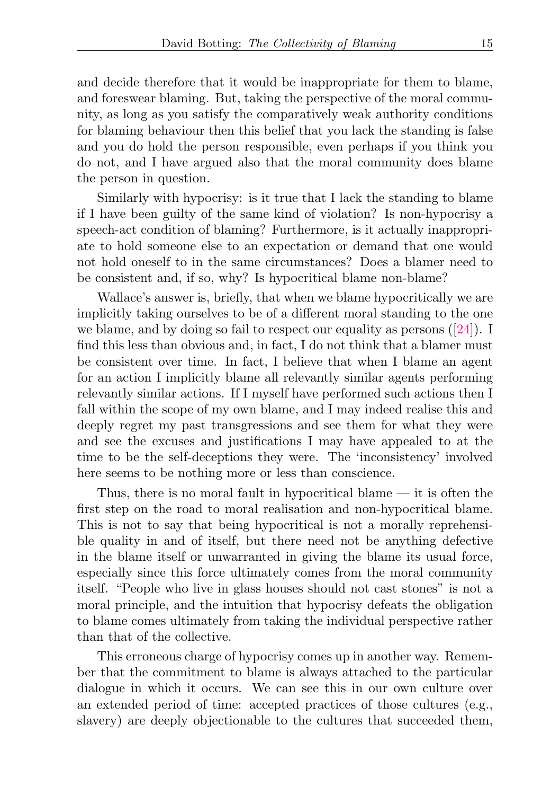and decide therefore that it would be inappropriate for them to blame, and foreswear blaming. But, taking the perspective of the moral community, as long as you satisfy the comparatively weak authority conditions for blaming behaviour then this belief that you lack the standing is false and you do hold the person responsible, even perhaps if you think you do not, and I have argued also that the moral community does blame the person in question.

Similarly with hypocrisy: is it true that I lack the standing to blame if I have been guilty of the same kind of violation? Is non-hypocrisy a speech-act condition of blaming? Furthermore, is it actually inappropriate to hold someone else to an expectation or demand that one would not hold oneself to in the same circumstances? Does a blamer need to be consistent and, if so, why? Is hypocritical blame non-blame?

Wallace's answer is, briefly, that when we blame hypocritically we are implicitly taking ourselves to be of a different moral standing to the one we blame, and by doing so fail to respect our equality as persons  $([24])$  $([24])$  $([24])$ . I find this less than obvious and, in fact, I do not think that a blamer must be consistent over time. In fact, I believe that when I blame an agent for an action I implicitly blame all relevantly similar agents performing relevantly similar actions. If I myself have performed such actions then I fall within the scope of my own blame, and I may indeed realise this and deeply regret my past transgressions and see them for what they were and see the excuses and justifications I may have appealed to at the time to be the self-deceptions they were. The 'inconsistency' involved here seems to be nothing more or less than conscience.

Thus, there is no moral fault in hypocritical blame  $-$  it is often the first step on the road to moral realisation and non-hypocritical blame. This is not to say that being hypocritical is not a morally reprehensible quality in and of itself, but there need not be anything defective in the blame itself or unwarranted in giving the blame its usual force, especially since this force ultimately comes from the moral community itself. "People who live in glass houses should not cast stones" is not a moral principle, and the intuition that hypocrisy defeats the obligation to blame comes ultimately from taking the individual perspective rather than that of the collective.

This erroneous charge of hypocrisy comes up in another way. Remember that the commitment to blame is always attached to the particular dialogue in which it occurs. We can see this in our own culture over an extended period of time: accepted practices of those cultures (e.g., slavery) are deeply objectionable to the cultures that succeeded them,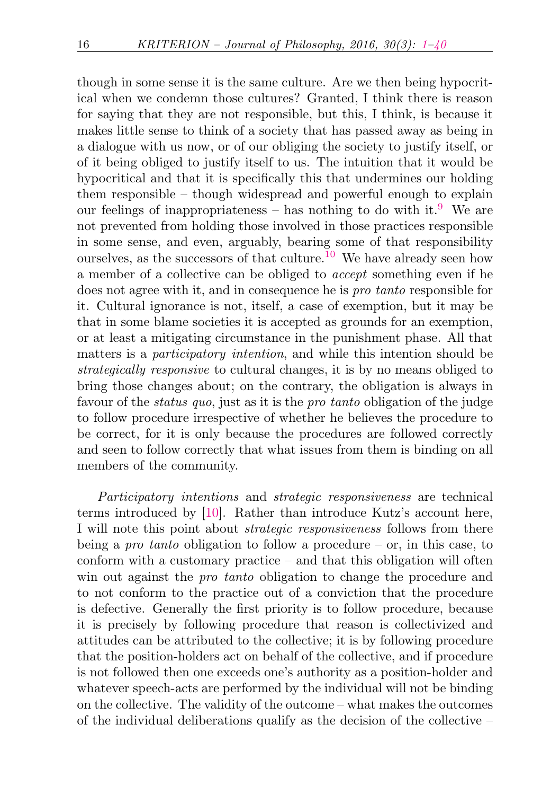<span id="page-15-1"></span><span id="page-15-0"></span>though in some sense it is the same culture. Are we then being hypocritical when we condemn those cultures? Granted, I think there is reason for saying that they are not responsible, but this, I think, is because it makes little sense to think of a society that has passed away as being in a dialogue with us now, or of our obliging the society to justify itself, or of it being obliged to justify itself to us. The intuition that it would be hypocritical and that it is specifically this that undermines our holding them responsible – though widespread and powerful enough to explain our feelings of inappropriateness – has nothing to do with it. <sup>[9](#page-33-3)</sup> We are not prevented from holding those involved in those practices responsible in some sense, and even, arguably, bearing some of that responsibility ourselves, as the successors of that culture.<sup>[10](#page-34-0)</sup> We have already seen how a member of a collective can be obliged to accept something even if he does not agree with it, and in consequence he is pro tanto responsible for it. Cultural ignorance is not, itself, a case of exemption, but it may be that in some blame societies it is accepted as grounds for an exemption, or at least a mitigating circumstance in the punishment phase. All that matters is a participatory intention, and while this intention should be strategically responsive to cultural changes, it is by no means obliged to bring those changes about; on the contrary, the obligation is always in favour of the *status quo*, just as it is the *pro tanto* obligation of the judge to follow procedure irrespective of whether he believes the procedure to be correct, for it is only because the procedures are followed correctly and seen to follow correctly that what issues from them is binding on all members of the community.

Participatory intentions and strategic responsiveness are technical terms introduced by [\[10\]](#page-37-4). Rather than introduce Kutz's account here, I will note this point about strategic responsiveness follows from there being a *pro tanto* obligation to follow a procedure – or, in this case, to conform with a customary practice – and that this obligation will often win out against the *pro tanto* obligation to change the procedure and to not conform to the practice out of a conviction that the procedure is defective. Generally the first priority is to follow procedure, because it is precisely by following procedure that reason is collectivized and attitudes can be attributed to the collective; it is by following procedure that the position-holders act on behalf of the collective, and if procedure is not followed then one exceeds one's authority as a position-holder and whatever speech-acts are performed by the individual will not be binding on the collective. The validity of the outcome – what makes the outcomes of the individual deliberations qualify as the decision of the collective –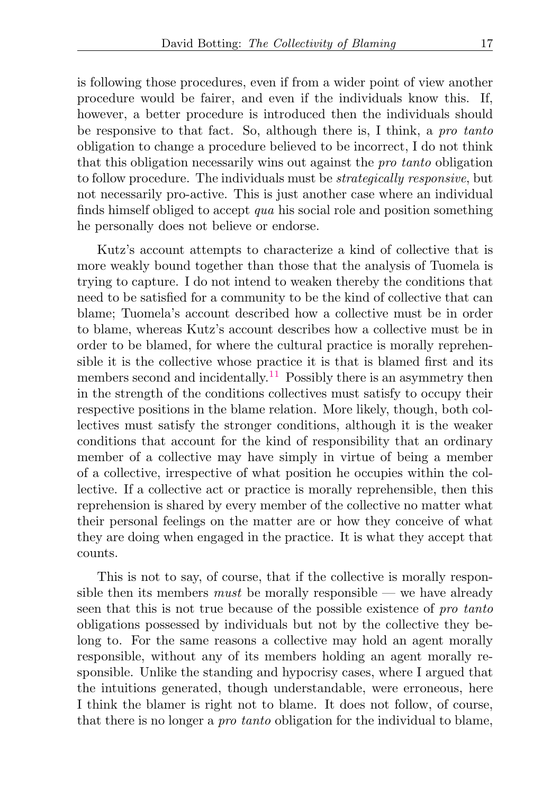is following those procedures, even if from a wider point of view another procedure would be fairer, and even if the individuals know this. If, however, a better procedure is introduced then the individuals should be responsive to that fact. So, although there is, I think, a pro tanto obligation to change a procedure believed to be incorrect, I do not think that this obligation necessarily wins out against the pro tanto obligation to follow procedure. The individuals must be strategically responsive, but not necessarily pro-active. This is just another case where an individual finds himself obliged to accept qua his social role and position something he personally does not believe or endorse.

<span id="page-16-0"></span>Kutz's account attempts to characterize a kind of collective that is more weakly bound together than those that the analysis of Tuomela is trying to capture. I do not intend to weaken thereby the conditions that need to be satisfied for a community to be the kind of collective that can blame; Tuomela's account described how a collective must be in order to blame, whereas Kutz's account describes how a collective must be in order to be blamed, for where the cultural practice is morally reprehensible it is the collective whose practice it is that is blamed first and its members second and incidentally.<sup>[11](#page-34-1)</sup> Possibly there is an asymmetry then in the strength of the conditions collectives must satisfy to occupy their respective positions in the blame relation. More likely, though, both collectives must satisfy the stronger conditions, although it is the weaker conditions that account for the kind of responsibility that an ordinary member of a collective may have simply in virtue of being a member of a collective, irrespective of what position he occupies within the collective. If a collective act or practice is morally reprehensible, then this reprehension is shared by every member of the collective no matter what their personal feelings on the matter are or how they conceive of what they are doing when engaged in the practice. It is what they accept that counts.

This is not to say, of course, that if the collective is morally responsible then its members *must* be morally responsible — we have already seen that this is not true because of the possible existence of pro tanto obligations possessed by individuals but not by the collective they belong to. For the same reasons a collective may hold an agent morally responsible, without any of its members holding an agent morally responsible. Unlike the standing and hypocrisy cases, where I argued that the intuitions generated, though understandable, were erroneous, here I think the blamer is right not to blame. It does not follow, of course, that there is no longer a pro tanto obligation for the individual to blame,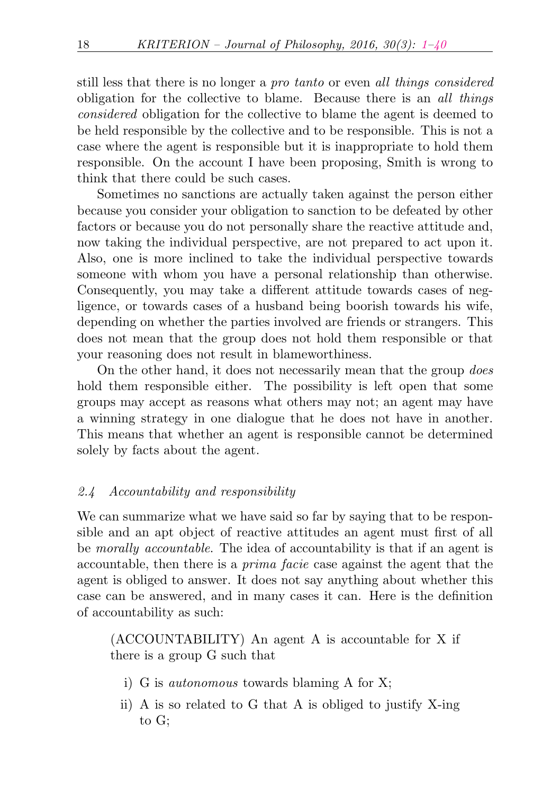still less that there is no longer a pro tanto or even all things considered obligation for the collective to blame. Because there is an all things considered obligation for the collective to blame the agent is deemed to be held responsible by the collective and to be responsible. This is not a case where the agent is responsible but it is inappropriate to hold them responsible. On the account I have been proposing, Smith is wrong to think that there could be such cases.

Sometimes no sanctions are actually taken against the person either because you consider your obligation to sanction to be defeated by other factors or because you do not personally share the reactive attitude and, now taking the individual perspective, are not prepared to act upon it. Also, one is more inclined to take the individual perspective towards someone with whom you have a personal relationship than otherwise. Consequently, you may take a different attitude towards cases of negligence, or towards cases of a husband being boorish towards his wife, depending on whether the parties involved are friends or strangers. This does not mean that the group does not hold them responsible or that your reasoning does not result in blameworthiness.

On the other hand, it does not necessarily mean that the group does hold them responsible either. The possibility is left open that some groups may accept as reasons what others may not; an agent may have a winning strategy in one dialogue that he does not have in another. This means that whether an agent is responsible cannot be determined solely by facts about the agent.

## 2.4 Accountability and responsibility

We can summarize what we have said so far by saying that to be responsible and an apt object of reactive attitudes an agent must first of all be morally accountable. The idea of accountability is that if an agent is accountable, then there is a prima facie case against the agent that the agent is obliged to answer. It does not say anything about whether this case can be answered, and in many cases it can. Here is the definition of accountability as such:

(ACCOUNTABILITY) An agent A is accountable for X if there is a group G such that

- i) G is autonomous towards blaming A for X;
- ii) A is so related to G that A is obliged to justify X-ing to G;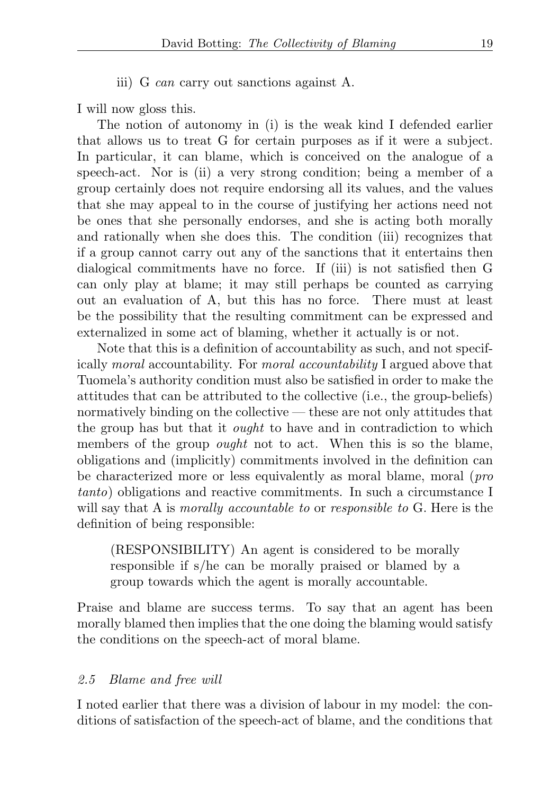iii) G can carry out sanctions against A.

I will now gloss this.

The notion of autonomy in (i) is the weak kind I defended earlier that allows us to treat G for certain purposes as if it were a subject. In particular, it can blame, which is conceived on the analogue of a speech-act. Nor is (ii) a very strong condition; being a member of a group certainly does not require endorsing all its values, and the values that she may appeal to in the course of justifying her actions need not be ones that she personally endorses, and she is acting both morally and rationally when she does this. The condition (iii) recognizes that if a group cannot carry out any of the sanctions that it entertains then dialogical commitments have no force. If (iii) is not satisfied then G can only play at blame; it may still perhaps be counted as carrying out an evaluation of A, but this has no force. There must at least be the possibility that the resulting commitment can be expressed and externalized in some act of blaming, whether it actually is or not.

Note that this is a definition of accountability as such, and not specifically moral accountability. For moral accountability I argued above that Tuomela's authority condition must also be satisfied in order to make the attitudes that can be attributed to the collective (i.e., the group-beliefs) normatively binding on the collective — these are not only attitudes that the group has but that it ought to have and in contradiction to which members of the group *ought* not to act. When this is so the blame, obligations and (implicitly) commitments involved in the definition can be characterized more or less equivalently as moral blame, moral (pro tanto) obligations and reactive commitments. In such a circumstance I will say that A is *morally accountable to or responsible to G*. Here is the definition of being responsible:

(RESPONSIBILITY) An agent is considered to be morally responsible if s/he can be morally praised or blamed by a group towards which the agent is morally accountable.

Praise and blame are success terms. To say that an agent has been morally blamed then implies that the one doing the blaming would satisfy the conditions on the speech-act of moral blame.

### 2.5 Blame and free will

I noted earlier that there was a division of labour in my model: the conditions of satisfaction of the speech-act of blame, and the conditions that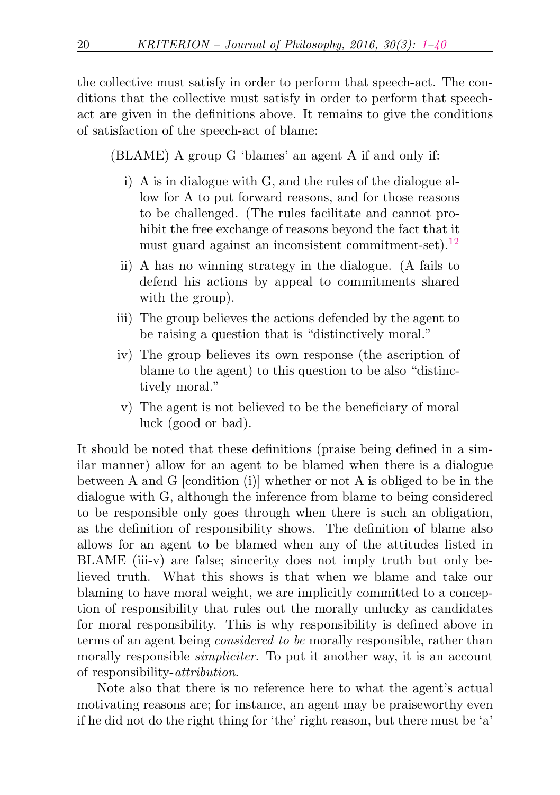the collective must satisfy in order to perform that speech-act. The conditions that the collective must satisfy in order to perform that speechact are given in the definitions above. It remains to give the conditions of satisfaction of the speech-act of blame:

(BLAME) A group G 'blames' an agent A if and only if:

- i) A is in dialogue with G, and the rules of the dialogue allow for A to put forward reasons, and for those reasons to be challenged. (The rules facilitate and cannot prohibit the free exchange of reasons beyond the fact that it must guard against an inconsistent commitment-set).[12](#page-34-2)
- <span id="page-19-0"></span>ii) A has no winning strategy in the dialogue. (A fails to defend his actions by appeal to commitments shared with the group).
- iii) The group believes the actions defended by the agent to be raising a question that is "distinctively moral."
- iv) The group believes its own response (the ascription of blame to the agent) to this question to be also "distinctively moral."
- v) The agent is not believed to be the beneficiary of moral luck (good or bad).

It should be noted that these definitions (praise being defined in a similar manner) allow for an agent to be blamed when there is a dialogue between A and G [condition (i)] whether or not A is obliged to be in the dialogue with G, although the inference from blame to being considered to be responsible only goes through when there is such an obligation, as the definition of responsibility shows. The definition of blame also allows for an agent to be blamed when any of the attitudes listed in BLAME (iii-v) are false; sincerity does not imply truth but only believed truth. What this shows is that when we blame and take our blaming to have moral weight, we are implicitly committed to a conception of responsibility that rules out the morally unlucky as candidates for moral responsibility. This is why responsibility is defined above in terms of an agent being considered to be morally responsible, rather than morally responsible *simpliciter*. To put it another way, it is an account of responsibility-attribution.

Note also that there is no reference here to what the agent's actual motivating reasons are; for instance, an agent may be praiseworthy even if he did not do the right thing for 'the' right reason, but there must be 'a'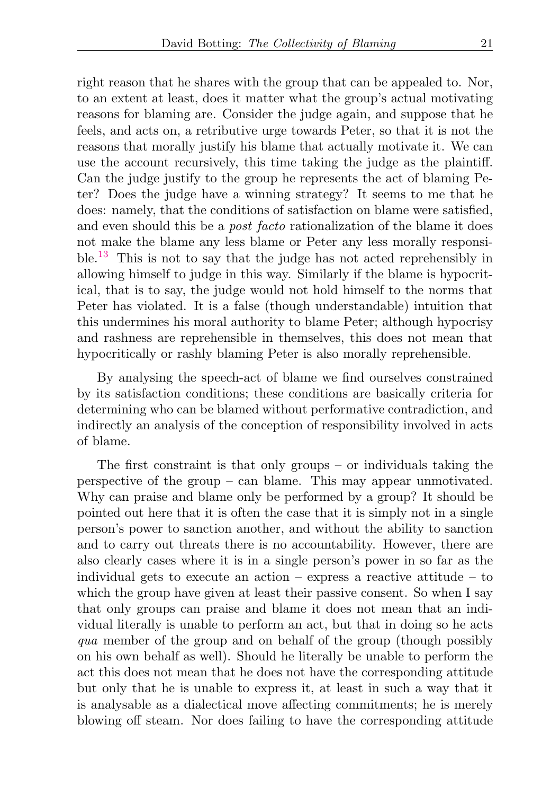right reason that he shares with the group that can be appealed to. Nor, to an extent at least, does it matter what the group's actual motivating reasons for blaming are. Consider the judge again, and suppose that he feels, and acts on, a retributive urge towards Peter, so that it is not the reasons that morally justify his blame that actually motivate it. We can use the account recursively, this time taking the judge as the plaintiff. Can the judge justify to the group he represents the act of blaming Peter? Does the judge have a winning strategy? It seems to me that he does: namely, that the conditions of satisfaction on blame were satisfied, and even should this be a post facto rationalization of the blame it does not make the blame any less blame or Peter any less morally responsible.[13](#page-34-3) This is not to say that the judge has not acted reprehensibly in allowing himself to judge in this way. Similarly if the blame is hypocritical, that is to say, the judge would not hold himself to the norms that Peter has violated. It is a false (though understandable) intuition that this undermines his moral authority to blame Peter; although hypocrisy and rashness are reprehensible in themselves, this does not mean that hypocritically or rashly blaming Peter is also morally reprehensible.

<span id="page-20-0"></span>By analysing the speech-act of blame we find ourselves constrained by its satisfaction conditions; these conditions are basically criteria for determining who can be blamed without performative contradiction, and indirectly an analysis of the conception of responsibility involved in acts of blame.

The first constraint is that only groups – or individuals taking the perspective of the group – can blame. This may appear unmotivated. Why can praise and blame only be performed by a group? It should be pointed out here that it is often the case that it is simply not in a single person's power to sanction another, and without the ability to sanction and to carry out threats there is no accountability. However, there are also clearly cases where it is in a single person's power in so far as the individual gets to execute an action – express a reactive attitude – to which the group have given at least their passive consent. So when I say that only groups can praise and blame it does not mean that an individual literally is unable to perform an act, but that in doing so he acts qua member of the group and on behalf of the group (though possibly on his own behalf as well). Should he literally be unable to perform the act this does not mean that he does not have the corresponding attitude but only that he is unable to express it, at least in such a way that it is analysable as a dialectical move affecting commitments; he is merely blowing off steam. Nor does failing to have the corresponding attitude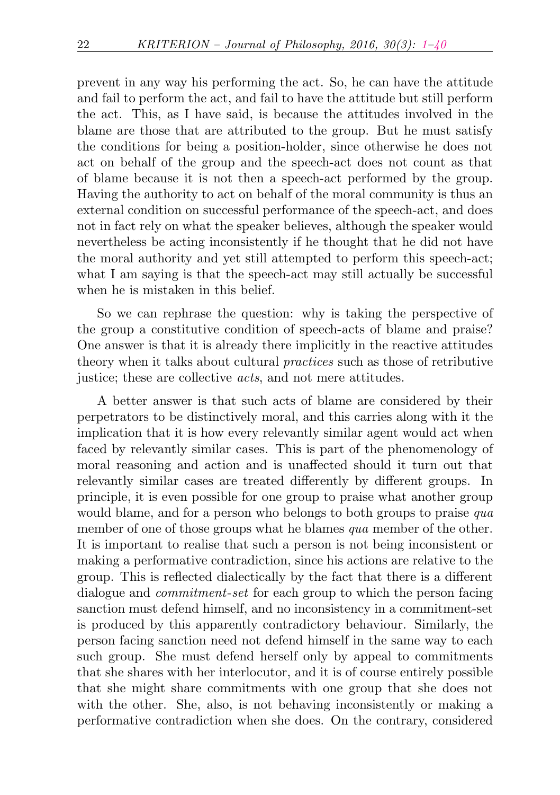prevent in any way his performing the act. So, he can have the attitude and fail to perform the act, and fail to have the attitude but still perform the act. This, as I have said, is because the attitudes involved in the blame are those that are attributed to the group. But he must satisfy the conditions for being a position-holder, since otherwise he does not act on behalf of the group and the speech-act does not count as that of blame because it is not then a speech-act performed by the group. Having the authority to act on behalf of the moral community is thus an external condition on successful performance of the speech-act, and does not in fact rely on what the speaker believes, although the speaker would nevertheless be acting inconsistently if he thought that he did not have the moral authority and yet still attempted to perform this speech-act; what I am saying is that the speech-act may still actually be successful when he is mistaken in this belief.

So we can rephrase the question: why is taking the perspective of the group a constitutive condition of speech-acts of blame and praise? One answer is that it is already there implicitly in the reactive attitudes theory when it talks about cultural practices such as those of retributive justice; these are collective *acts*, and not mere attitudes.

A better answer is that such acts of blame are considered by their perpetrators to be distinctively moral, and this carries along with it the implication that it is how every relevantly similar agent would act when faced by relevantly similar cases. This is part of the phenomenology of moral reasoning and action and is unaffected should it turn out that relevantly similar cases are treated differently by different groups. In principle, it is even possible for one group to praise what another group would blame, and for a person who belongs to both groups to praise qua member of one of those groups what he blames *qua* member of the other. It is important to realise that such a person is not being inconsistent or making a performative contradiction, since his actions are relative to the group. This is reflected dialectically by the fact that there is a different dialogue and *commitment-set* for each group to which the person facing sanction must defend himself, and no inconsistency in a commitment-set is produced by this apparently contradictory behaviour. Similarly, the person facing sanction need not defend himself in the same way to each such group. She must defend herself only by appeal to commitments that she shares with her interlocutor, and it is of course entirely possible that she might share commitments with one group that she does not with the other. She, also, is not behaving inconsistently or making a performative contradiction when she does. On the contrary, considered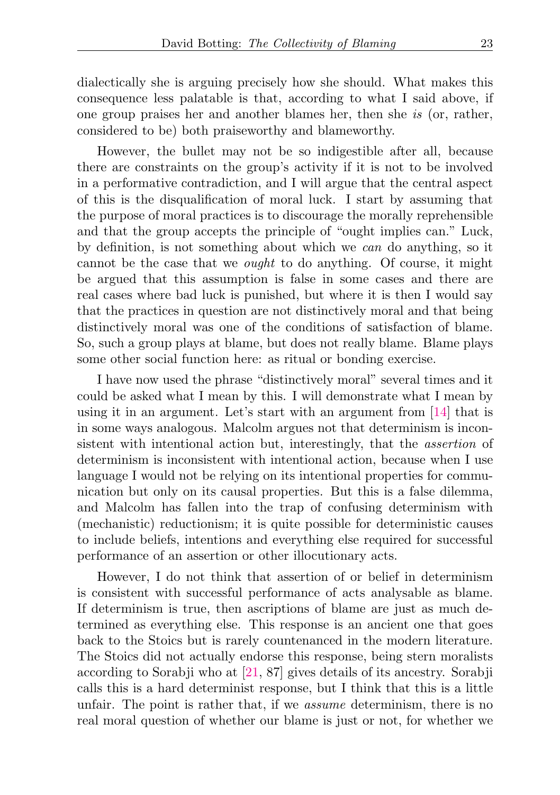dialectically she is arguing precisely how she should. What makes this consequence less palatable is that, according to what I said above, if one group praises her and another blames her, then she is (or, rather, considered to be) both praiseworthy and blameworthy.

However, the bullet may not be so indigestible after all, because there are constraints on the group's activity if it is not to be involved in a performative contradiction, and I will argue that the central aspect of this is the disqualification of moral luck. I start by assuming that the purpose of moral practices is to discourage the morally reprehensible and that the group accepts the principle of "ought implies can." Luck, by definition, is not something about which we can do anything, so it cannot be the case that we ought to do anything. Of course, it might be argued that this assumption is false in some cases and there are real cases where bad luck is punished, but where it is then I would say that the practices in question are not distinctively moral and that being distinctively moral was one of the conditions of satisfaction of blame. So, such a group plays at blame, but does not really blame. Blame plays some other social function here: as ritual or bonding exercise.

I have now used the phrase "distinctively moral" several times and it could be asked what I mean by this. I will demonstrate what I mean by using it in an argument. Let's start with an argument from [\[14\]](#page-37-5) that is in some ways analogous. Malcolm argues not that determinism is inconsistent with intentional action but, interestingly, that the assertion of determinism is inconsistent with intentional action, because when I use language I would not be relying on its intentional properties for communication but only on its causal properties. But this is a false dilemma, and Malcolm has fallen into the trap of confusing determinism with (mechanistic) reductionism; it is quite possible for deterministic causes to include beliefs, intentions and everything else required for successful performance of an assertion or other illocutionary acts.

However, I do not think that assertion of or belief in determinism is consistent with successful performance of acts analysable as blame. If determinism is true, then ascriptions of blame are just as much determined as everything else. This response is an ancient one that goes back to the Stoics but is rarely countenanced in the modern literature. The Stoics did not actually endorse this response, being stern moralists according to Sorabji who at [\[21,](#page-37-6) 87] gives details of its ancestry. Sorabji calls this is a hard determinist response, but I think that this is a little unfair. The point is rather that, if we *assume* determinism, there is no real moral question of whether our blame is just or not, for whether we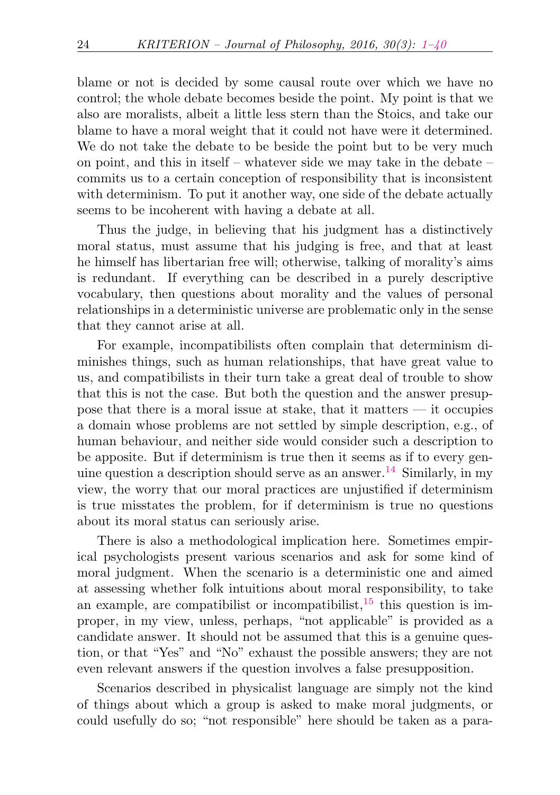blame or not is decided by some causal route over which we have no control; the whole debate becomes beside the point. My point is that we also are moralists, albeit a little less stern than the Stoics, and take our blame to have a moral weight that it could not have were it determined. We do not take the debate to be beside the point but to be very much on point, and this in itself – whatever side we may take in the debate – commits us to a certain conception of responsibility that is inconsistent with determinism. To put it another way, one side of the debate actually seems to be incoherent with having a debate at all.

Thus the judge, in believing that his judgment has a distinctively moral status, must assume that his judging is free, and that at least he himself has libertarian free will; otherwise, talking of morality's aims is redundant. If everything can be described in a purely descriptive vocabulary, then questions about morality and the values of personal relationships in a deterministic universe are problematic only in the sense that they cannot arise at all.

For example, incompatibilists often complain that determinism diminishes things, such as human relationships, that have great value to us, and compatibilists in their turn take a great deal of trouble to show that this is not the case. But both the question and the answer presuppose that there is a moral issue at stake, that it matters — it occupies a domain whose problems are not settled by simple description, e.g., of human behaviour, and neither side would consider such a description to be apposite. But if determinism is true then it seems as if to every gen-uine question a description should serve as an answer.<sup>[14](#page-34-4)</sup> Similarly, in my view, the worry that our moral practices are unjustified if determinism is true misstates the problem, for if determinism is true no questions about its moral status can seriously arise.

<span id="page-23-1"></span><span id="page-23-0"></span>There is also a methodological implication here. Sometimes empirical psychologists present various scenarios and ask for some kind of moral judgment. When the scenario is a deterministic one and aimed at assessing whether folk intuitions about moral responsibility, to take an example, are compatibilist or incompatibilist, $15$  this question is improper, in my view, unless, perhaps, "not applicable" is provided as a candidate answer. It should not be assumed that this is a genuine question, or that "Yes" and "No" exhaust the possible answers; they are not even relevant answers if the question involves a false presupposition.

Scenarios described in physicalist language are simply not the kind of things about which a group is asked to make moral judgments, or could usefully do so; "not responsible" here should be taken as a para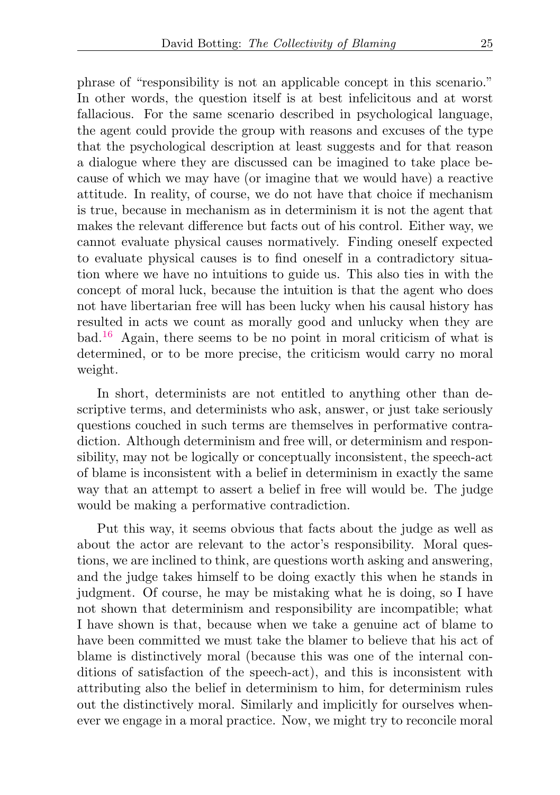phrase of "responsibility is not an applicable concept in this scenario." In other words, the question itself is at best infelicitous and at worst fallacious. For the same scenario described in psychological language, the agent could provide the group with reasons and excuses of the type that the psychological description at least suggests and for that reason a dialogue where they are discussed can be imagined to take place because of which we may have (or imagine that we would have) a reactive attitude. In reality, of course, we do not have that choice if mechanism is true, because in mechanism as in determinism it is not the agent that makes the relevant difference but facts out of his control. Either way, we cannot evaluate physical causes normatively. Finding oneself expected to evaluate physical causes is to find oneself in a contradictory situation where we have no intuitions to guide us. This also ties in with the concept of moral luck, because the intuition is that the agent who does not have libertarian free will has been lucky when his causal history has resulted in acts we count as morally good and unlucky when they are  $bad.<sup>16</sup> Again, there seems to be no point in moral criticism of what is$  $bad.<sup>16</sup> Again, there seems to be no point in moral criticism of what is$  $bad.<sup>16</sup> Again, there seems to be no point in moral criticism of what is$ determined, or to be more precise, the criticism would carry no moral weight.

<span id="page-24-0"></span>In short, determinists are not entitled to anything other than descriptive terms, and determinists who ask, answer, or just take seriously questions couched in such terms are themselves in performative contradiction. Although determinism and free will, or determinism and responsibility, may not be logically or conceptually inconsistent, the speech-act of blame is inconsistent with a belief in determinism in exactly the same way that an attempt to assert a belief in free will would be. The judge would be making a performative contradiction.

Put this way, it seems obvious that facts about the judge as well as about the actor are relevant to the actor's responsibility. Moral questions, we are inclined to think, are questions worth asking and answering, and the judge takes himself to be doing exactly this when he stands in judgment. Of course, he may be mistaking what he is doing, so I have not shown that determinism and responsibility are incompatible; what I have shown is that, because when we take a genuine act of blame to have been committed we must take the blamer to believe that his act of blame is distinctively moral (because this was one of the internal conditions of satisfaction of the speech-act), and this is inconsistent with attributing also the belief in determinism to him, for determinism rules out the distinctively moral. Similarly and implicitly for ourselves whenever we engage in a moral practice. Now, we might try to reconcile moral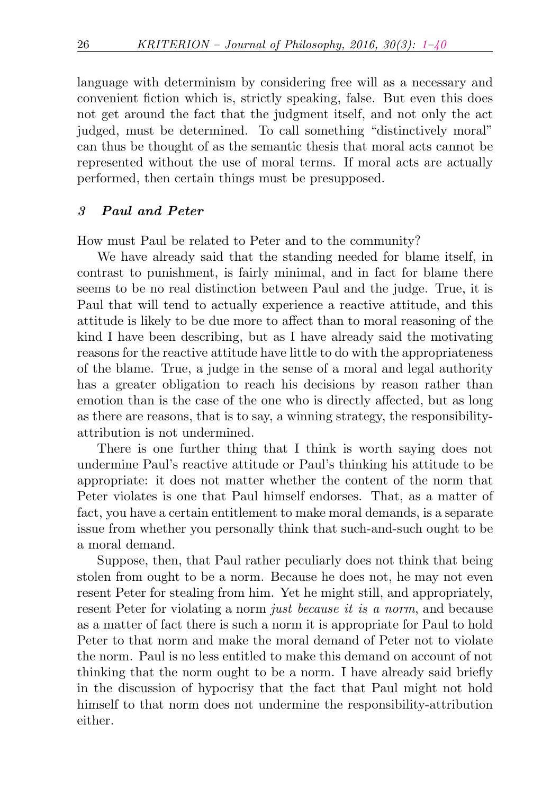language with determinism by considering free will as a necessary and convenient fiction which is, strictly speaking, false. But even this does not get around the fact that the judgment itself, and not only the act judged, must be determined. To call something "distinctively moral" can thus be thought of as the semantic thesis that moral acts cannot be represented without the use of moral terms. If moral acts are actually performed, then certain things must be presupposed.

# 3 Paul and Peter

How must Paul be related to Peter and to the community?

We have already said that the standing needed for blame itself, in contrast to punishment, is fairly minimal, and in fact for blame there seems to be no real distinction between Paul and the judge. True, it is Paul that will tend to actually experience a reactive attitude, and this attitude is likely to be due more to affect than to moral reasoning of the kind I have been describing, but as I have already said the motivating reasons for the reactive attitude have little to do with the appropriateness of the blame. True, a judge in the sense of a moral and legal authority has a greater obligation to reach his decisions by reason rather than emotion than is the case of the one who is directly affected, but as long as there are reasons, that is to say, a winning strategy, the responsibilityattribution is not undermined.

There is one further thing that I think is worth saying does not undermine Paul's reactive attitude or Paul's thinking his attitude to be appropriate: it does not matter whether the content of the norm that Peter violates is one that Paul himself endorses. That, as a matter of fact, you have a certain entitlement to make moral demands, is a separate issue from whether you personally think that such-and-such ought to be a moral demand.

Suppose, then, that Paul rather peculiarly does not think that being stolen from ought to be a norm. Because he does not, he may not even resent Peter for stealing from him. Yet he might still, and appropriately, resent Peter for violating a norm *just because it is a norm*, and because as a matter of fact there is such a norm it is appropriate for Paul to hold Peter to that norm and make the moral demand of Peter not to violate the norm. Paul is no less entitled to make this demand on account of not thinking that the norm ought to be a norm. I have already said briefly in the discussion of hypocrisy that the fact that Paul might not hold himself to that norm does not undermine the responsibility-attribution either.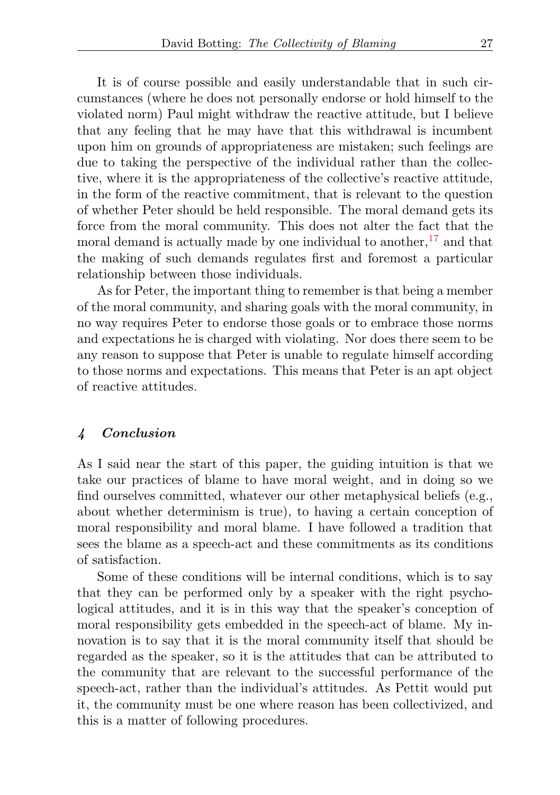It is of course possible and easily understandable that in such circumstances (where he does not personally endorse or hold himself to the violated norm) Paul might withdraw the reactive attitude, but I believe that any feeling that he may have that this withdrawal is incumbent upon him on grounds of appropriateness are mistaken; such feelings are due to taking the perspective of the individual rather than the collective, where it is the appropriateness of the collective's reactive attitude, in the form of the reactive commitment, that is relevant to the question of whether Peter should be held responsible. The moral demand gets its force from the moral community. This does not alter the fact that the moral demand is actually made by one individual to another,  $17$  and that the making of such demands regulates first and foremost a particular relationship between those individuals.

<span id="page-26-0"></span>As for Peter, the important thing to remember is that being a member of the moral community, and sharing goals with the moral community, in no way requires Peter to endorse those goals or to embrace those norms and expectations he is charged with violating. Nor does there seem to be any reason to suppose that Peter is unable to regulate himself according to those norms and expectations. This means that Peter is an apt object of reactive attitudes.

# 4 Conclusion

As I said near the start of this paper, the guiding intuition is that we take our practices of blame to have moral weight, and in doing so we find ourselves committed, whatever our other metaphysical beliefs (e.g., about whether determinism is true), to having a certain conception of moral responsibility and moral blame. I have followed a tradition that sees the blame as a speech-act and these commitments as its conditions of satisfaction.

Some of these conditions will be internal conditions, which is to say that they can be performed only by a speaker with the right psychological attitudes, and it is in this way that the speaker's conception of moral responsibility gets embedded in the speech-act of blame. My innovation is to say that it is the moral community itself that should be regarded as the speaker, so it is the attitudes that can be attributed to the community that are relevant to the successful performance of the speech-act, rather than the individual's attitudes. As Pettit would put it, the community must be one where reason has been collectivized, and this is a matter of following procedures.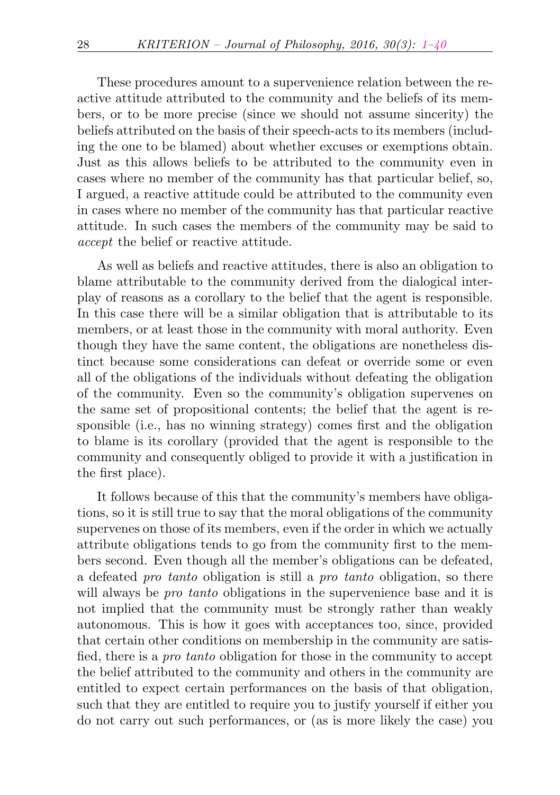These procedures amount to a supervenience relation between the reactive attitude attributed to the community and the beliefs of its members, or to be more precise (since we should not assume sincerity) the beliefs attributed on the basis of their speech-acts to its members (including the one to be blamed) about whether excuses or exemptions obtain. Just as this allows beliefs to be attributed to the community even in cases where no member of the community has that particular belief, so, I argued, a reactive attitude could be attributed to the community even in cases where no member of the community has that particular reactive attitude. In such cases the members of the community may be said to accept the belief or reactive attitude.

As well as beliefs and reactive attitudes, there is also an obligation to blame attributable to the community derived from the dialogical interplay of reasons as a corollary to the belief that the agent is responsible. In this case there will be a similar obligation that is attributable to its members, or at least those in the community with moral authority. Even though they have the same content, the obligations are nonetheless distinct because some considerations can defeat or override some or even all of the obligations of the individuals without defeating the obligation of the community. Even so the community's obligation supervenes on the same set of propositional contents; the belief that the agent is responsible (i.e., has no winning strategy) comes first and the obligation to blame is its corollary (provided that the agent is responsible to the community and consequently obliged to provide it with a justification in the first place).

It follows because of this that the community's members have obligations, so it is still true to say that the moral obligations of the community supervenes on those of its members, even if the order in which we actually attribute obligations tends to go from the community first to the members second. Even though all the member's obligations can be defeated, a defeated pro tanto obligation is still a pro tanto obligation, so there will always be *pro tanto* obligations in the supervenience base and it is not implied that the community must be strongly rather than weakly autonomous. This is how it goes with acceptances too, since, provided that certain other conditions on membership in the community are satisfied, there is a pro tanto obligation for those in the community to accept the belief attributed to the community and others in the community are entitled to expect certain performances on the basis of that obligation, such that they are entitled to require you to justify yourself if either you do not carry out such performances, or (as is more likely the case) you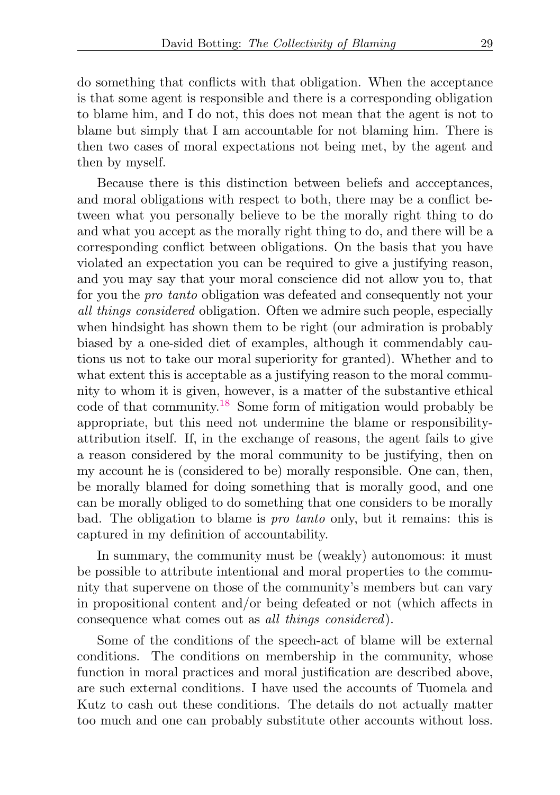do something that conflicts with that obligation. When the acceptance is that some agent is responsible and there is a corresponding obligation to blame him, and I do not, this does not mean that the agent is not to blame but simply that I am accountable for not blaming him. There is then two cases of moral expectations not being met, by the agent and then by myself.

Because there is this distinction between beliefs and accceptances, and moral obligations with respect to both, there may be a conflict between what you personally believe to be the morally right thing to do and what you accept as the morally right thing to do, and there will be a corresponding conflict between obligations. On the basis that you have violated an expectation you can be required to give a justifying reason, and you may say that your moral conscience did not allow you to, that for you the pro tanto obligation was defeated and consequently not your all things considered obligation. Often we admire such people, especially when hindsight has shown them to be right (our admiration is probably biased by a one-sided diet of examples, although it commendably cautions us not to take our moral superiority for granted). Whether and to what extent this is acceptable as a justifying reason to the moral community to whom it is given, however, is a matter of the substantive ethical code of that community.[18](#page-35-0) Some form of mitigation would probably be appropriate, but this need not undermine the blame or responsibilityattribution itself. If, in the exchange of reasons, the agent fails to give a reason considered by the moral community to be justifying, then on my account he is (considered to be) morally responsible. One can, then, be morally blamed for doing something that is morally good, and one can be morally obliged to do something that one considers to be morally bad. The obligation to blame is pro tanto only, but it remains: this is captured in my definition of accountability.

<span id="page-28-0"></span>In summary, the community must be (weakly) autonomous: it must be possible to attribute intentional and moral properties to the community that supervene on those of the community's members but can vary in propositional content and/or being defeated or not (which affects in consequence what comes out as all things considered).

Some of the conditions of the speech-act of blame will be external conditions. The conditions on membership in the community, whose function in moral practices and moral justification are described above, are such external conditions. I have used the accounts of Tuomela and Kutz to cash out these conditions. The details do not actually matter too much and one can probably substitute other accounts without loss.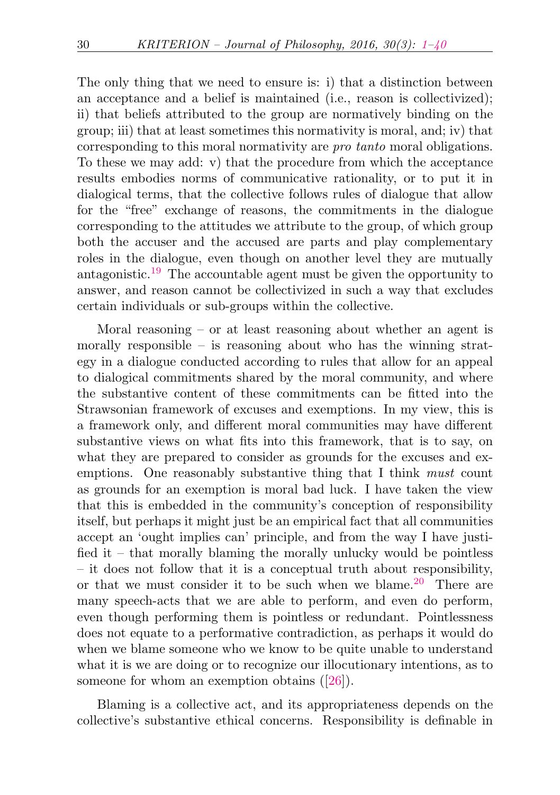The only thing that we need to ensure is: i) that a distinction between an acceptance and a belief is maintained (i.e., reason is collectivized); ii) that beliefs attributed to the group are normatively binding on the group; iii) that at least sometimes this normativity is moral, and; iv) that corresponding to this moral normativity are pro tanto moral obligations. To these we may add: v) that the procedure from which the acceptance results embodies norms of communicative rationality, or to put it in dialogical terms, that the collective follows rules of dialogue that allow for the "free" exchange of reasons, the commitments in the dialogue corresponding to the attitudes we attribute to the group, of which group both the accuser and the accused are parts and play complementary roles in the dialogue, even though on another level they are mutually antagonistic.<sup>[19](#page-35-1)</sup> The accountable agent must be given the opportunity to answer, and reason cannot be collectivized in such a way that excludes certain individuals or sub-groups within the collective.

<span id="page-29-0"></span>Moral reasoning  $-$  or at least reasoning about whether an agent is morally responsible – is reasoning about who has the winning strategy in a dialogue conducted according to rules that allow for an appeal to dialogical commitments shared by the moral community, and where the substantive content of these commitments can be fitted into the Strawsonian framework of excuses and exemptions. In my view, this is a framework only, and different moral communities may have different substantive views on what fits into this framework, that is to say, on what they are prepared to consider as grounds for the excuses and exemptions. One reasonably substantive thing that I think *must* count as grounds for an exemption is moral bad luck. I have taken the view that this is embedded in the community's conception of responsibility itself, but perhaps it might just be an empirical fact that all communities accept an 'ought implies can' principle, and from the way I have justified it – that morally blaming the morally unlucky would be pointless – it does not follow that it is a conceptual truth about responsibility, or that we must consider it to be such when we blame.<sup>[20](#page-35-2)</sup> There are many speech-acts that we are able to perform, and even do perform, even though performing them is pointless or redundant. Pointlessness does not equate to a performative contradiction, as perhaps it would do when we blame someone who we know to be quite unable to understand what it is we are doing or to recognize our illocutionary intentions, as to someone for whom an exemption obtains ([\[26\]](#page-38-2)).

<span id="page-29-1"></span>Blaming is a collective act, and its appropriateness depends on the collective's substantive ethical concerns. Responsibility is definable in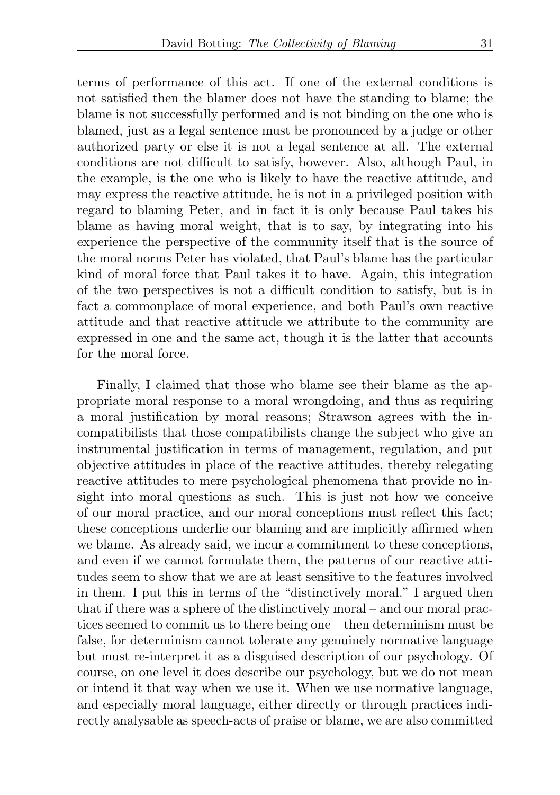terms of performance of this act. If one of the external conditions is not satisfied then the blamer does not have the standing to blame; the blame is not successfully performed and is not binding on the one who is blamed, just as a legal sentence must be pronounced by a judge or other authorized party or else it is not a legal sentence at all. The external conditions are not difficult to satisfy, however. Also, although Paul, in the example, is the one who is likely to have the reactive attitude, and may express the reactive attitude, he is not in a privileged position with regard to blaming Peter, and in fact it is only because Paul takes his blame as having moral weight, that is to say, by integrating into his experience the perspective of the community itself that is the source of the moral norms Peter has violated, that Paul's blame has the particular kind of moral force that Paul takes it to have. Again, this integration of the two perspectives is not a difficult condition to satisfy, but is in fact a commonplace of moral experience, and both Paul's own reactive attitude and that reactive attitude we attribute to the community are expressed in one and the same act, though it is the latter that accounts for the moral force.

Finally, I claimed that those who blame see their blame as the appropriate moral response to a moral wrongdoing, and thus as requiring a moral justification by moral reasons; Strawson agrees with the incompatibilists that those compatibilists change the subject who give an instrumental justification in terms of management, regulation, and put objective attitudes in place of the reactive attitudes, thereby relegating reactive attitudes to mere psychological phenomena that provide no insight into moral questions as such. This is just not how we conceive of our moral practice, and our moral conceptions must reflect this fact; these conceptions underlie our blaming and are implicitly affirmed when we blame. As already said, we incur a commitment to these conceptions, and even if we cannot formulate them, the patterns of our reactive attitudes seem to show that we are at least sensitive to the features involved in them. I put this in terms of the "distinctively moral." I argued then that if there was a sphere of the distinctively moral – and our moral practices seemed to commit us to there being one – then determinism must be false, for determinism cannot tolerate any genuinely normative language but must re-interpret it as a disguised description of our psychology. Of course, on one level it does describe our psychology, but we do not mean or intend it that way when we use it. When we use normative language, and especially moral language, either directly or through practices indirectly analysable as speech-acts of praise or blame, we are also committed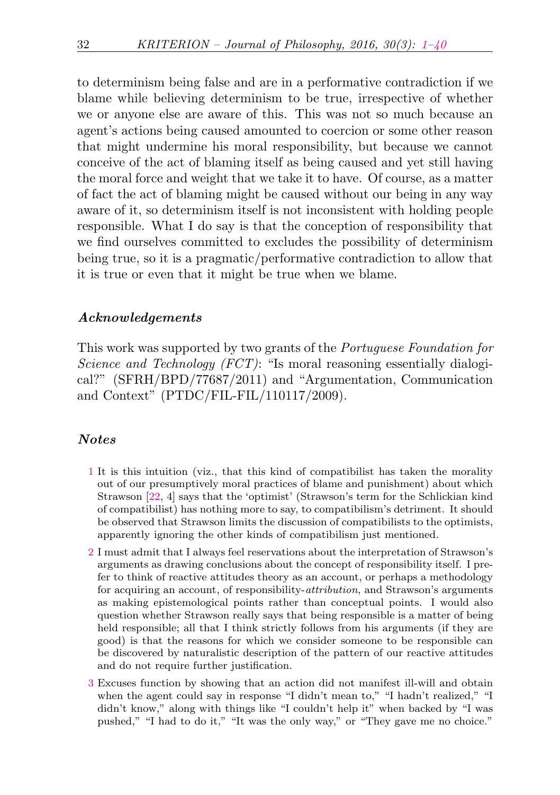to determinism being false and are in a performative contradiction if we blame while believing determinism to be true, irrespective of whether we or anyone else are aware of this. This was not so much because an agent's actions being caused amounted to coercion or some other reason that might undermine his moral responsibility, but because we cannot conceive of the act of blaming itself as being caused and yet still having the moral force and weight that we take it to have. Of course, as a matter of fact the act of blaming might be caused without our being in any way aware of it, so determinism itself is not inconsistent with holding people responsible. What I do say is that the conception of responsibility that we find ourselves committed to excludes the possibility of determinism being true, so it is a pragmatic/performative contradiction to allow that it is true or even that it might be true when we blame.

### Acknowledgements

This work was supported by two grants of the Portuguese Foundation for Science and Technology (FCT): "Is moral reasoning essentially dialogical?" (SFRH/BPD/77687/2011) and "Argumentation, Communication and Context" (PTDC/FIL-FIL/110117/2009).

## Notes

- <span id="page-31-0"></span>[1](#page-1-0) It is this intuition (viz., that this kind of compatibilist has taken the morality out of our presumptively moral practices of blame and punishment) about which Strawson [\[22,](#page-37-0) 4] says that the 'optimist' (Strawson's term for the Schlickian kind of compatibilist) has nothing more to say, to compatibilism's detriment. It should be observed that Strawson limits the discussion of compatibilists to the optimists, apparently ignoring the other kinds of compatibilism just mentioned.
- <span id="page-31-1"></span>[2](#page-3-0) I must admit that I always feel reservations about the interpretation of Strawson's arguments as drawing conclusions about the concept of responsibility itself. I prefer to think of reactive attitudes theory as an account, or perhaps a methodology for acquiring an account, of responsibility-attribution, and Strawson's arguments as making epistemological points rather than conceptual points. I would also question whether Strawson really says that being responsible is a matter of being held responsible; all that I think strictly follows from his arguments (if they are good) is that the reasons for which we consider someone to be responsible can be discovered by naturalistic description of the pattern of our reactive attitudes and do not require further justification.
- <span id="page-31-2"></span>[3](#page-5-0) Excuses function by showing that an action did not manifest ill-will and obtain when the agent could say in response "I didn't mean to," "I hadn't realized," "I didn't know," along with things like "I couldn't help it" when backed by "I was pushed," "I had to do it," "It was the only way," or "They gave me no choice."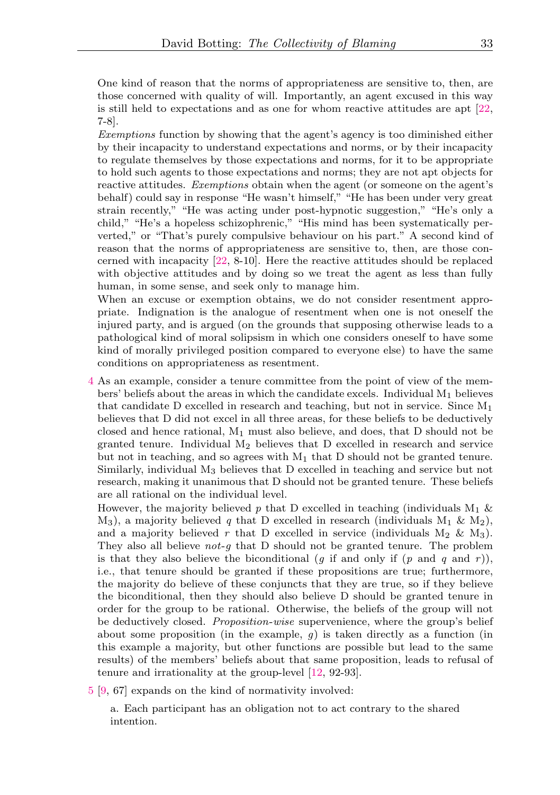One kind of reason that the norms of appropriateness are sensitive to, then, are those concerned with quality of will. Importantly, an agent excused in this way is still held to expectations and as one for whom reactive attitudes are apt [\[22,](#page-37-0) 7-8].

Exemptions function by showing that the agent's agency is too diminished either by their incapacity to understand expectations and norms, or by their incapacity to regulate themselves by those expectations and norms, for it to be appropriate to hold such agents to those expectations and norms; they are not apt objects for reactive attitudes. Exemptions obtain when the agent (or someone on the agent's behalf) could say in response "He wasn't himself," "He has been under very great strain recently," "He was acting under post-hypnotic suggestion," "He's only a child," "He's a hopeless schizophrenic," "His mind has been systematically perverted," or "That's purely compulsive behaviour on his part." A second kind of reason that the norms of appropriateness are sensitive to, then, are those concerned with incapacity [\[22,](#page-37-0) 8-10]. Here the reactive attitudes should be replaced with objective attitudes and by doing so we treat the agent as less than fully human, in some sense, and seek only to manage him.

When an excuse or exemption obtains, we do not consider resentment appropriate. Indignation is the analogue of resentment when one is not oneself the injured party, and is argued (on the grounds that supposing otherwise leads to a pathological kind of moral solipsism in which one considers oneself to have some kind of morally privileged position compared to everyone else) to have the same conditions on appropriateness as resentment.

<span id="page-32-0"></span>[4](#page-5-1) As an example, consider a tenure committee from the point of view of the members' beliefs about the areas in which the candidate excels. Individual  $M_1$  believes that candidate D excelled in research and teaching, but not in service. Since  $M_1$ believes that D did not excel in all three areas, for these beliefs to be deductively closed and hence rational,  $M_1$  must also believe, and does, that D should not be granted tenure. Individual  $M_2$  believes that D excelled in research and service but not in teaching, and so agrees with  $M_1$  that D should not be granted tenure. Similarly, individual M<sup>3</sup> believes that D excelled in teaching and service but not research, making it unanimous that D should not be granted tenure. These beliefs are all rational on the individual level.

However, the majority believed p that D excelled in teaching (individuals  $M_1 \&$  $M_3$ ), a majority believed q that D excelled in research (individuals  $M_1 \& M_2$ ), and a majority believed r that D excelled in service (individuals  $M_2 \& M_3$ ). They also all believe *not-q* that D should not be granted tenure. The problem is that they also believe the biconditional (q if and only if (p and q and r)), i.e., that tenure should be granted if these propositions are true; furthermore, the majority do believe of these conjuncts that they are true, so if they believe the biconditional, then they should also believe D should be granted tenure in order for the group to be rational. Otherwise, the beliefs of the group will not be deductively closed. Proposition-wise supervenience, where the group's belief about some proposition (in the example,  $g$ ) is taken directly as a function (in this example a majority, but other functions are possible but lead to the same results) of the members' beliefs about that same proposition, leads to refusal of tenure and irrationality at the group-level [\[12,](#page-37-1) 92-93].

<span id="page-32-1"></span>[5](#page-7-0) [\[9,](#page-36-3) 67] expands on the kind of normativity involved:

a. Each participant has an obligation not to act contrary to the shared intention.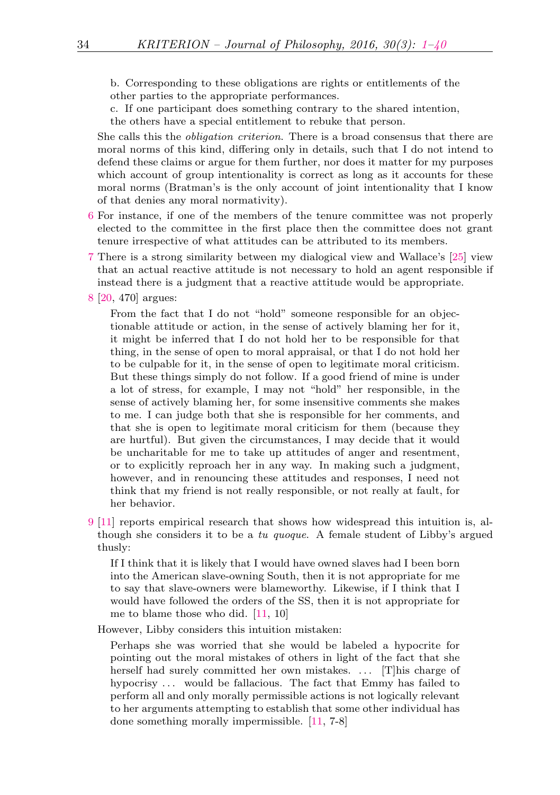b. Corresponding to these obligations are rights or entitlements of the other parties to the appropriate performances.

c. If one participant does something contrary to the shared intention,

the others have a special entitlement to rebuke that person.

She calls this the obligation criterion. There is a broad consensus that there are moral norms of this kind, differing only in details, such that I do not intend to defend these claims or argue for them further, nor does it matter for my purposes which account of group intentionality is correct as long as it accounts for these moral norms (Bratman's is the only account of joint intentionality that I know of that denies any moral normativity).

- <span id="page-33-0"></span>[6](#page-8-0) For instance, if one of the members of the tenure committee was not properly elected to the committee in the first place then the committee does not grant tenure irrespective of what attitudes can be attributed to its members.
- <span id="page-33-1"></span>[7](#page-9-0) There is a strong similarity between my dialogical view and Wallace's [\[25\]](#page-38-3) view that an actual reactive attitude is not necessary to hold an agent responsible if instead there is a judgment that a reactive attitude would be appropriate.
- <span id="page-33-2"></span>[8](#page-13-0) [\[20,](#page-37-3) 470] argues:

From the fact that I do not "hold" someone responsible for an objectionable attitude or action, in the sense of actively blaming her for it, it might be inferred that I do not hold her to be responsible for that thing, in the sense of open to moral appraisal, or that I do not hold her to be culpable for it, in the sense of open to legitimate moral criticism. But these things simply do not follow. If a good friend of mine is under a lot of stress, for example, I may not "hold" her responsible, in the sense of actively blaming her, for some insensitive comments she makes to me. I can judge both that she is responsible for her comments, and that she is open to legitimate moral criticism for them (because they are hurtful). But given the circumstances, I may decide that it would be uncharitable for me to take up attitudes of anger and resentment, or to explicitly reproach her in any way. In making such a judgment, however, and in renouncing these attitudes and responses, I need not think that my friend is not really responsible, or not really at fault, for her behavior.

<span id="page-33-3"></span>[9](#page-15-0) [\[11\]](#page-37-7) reports empirical research that shows how widespread this intuition is, although she considers it to be a tu quoque. A female student of Libby's argued thusly:

If I think that it is likely that I would have owned slaves had I been born into the American slave-owning South, then it is not appropriate for me to say that slave-owners were blameworthy. Likewise, if I think that I would have followed the orders of the SS, then it is not appropriate for me to blame those who did. [\[11,](#page-37-7) 10]

However, Libby considers this intuition mistaken:

Perhaps she was worried that she would be labeled a hypocrite for pointing out the moral mistakes of others in light of the fact that she herself had surely committed her own mistakes. ... [T]his charge of hypocrisy ... would be fallacious. The fact that Emmy has failed to perform all and only morally permissible actions is not logically relevant to her arguments attempting to establish that some other individual has done something morally impermissible. [\[11,](#page-37-7) 7-8]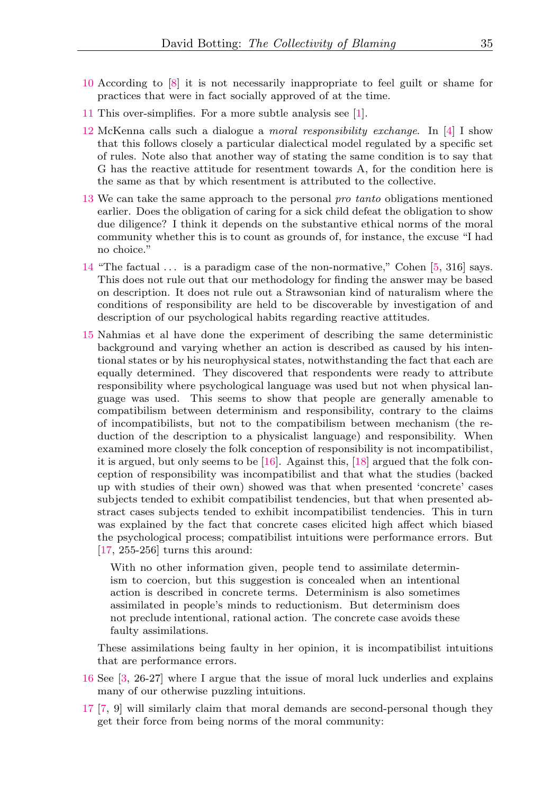- <span id="page-34-0"></span>[10](#page-15-1) According to [\[8\]](#page-36-4) it is not necessarily inappropriate to feel guilt or shame for practices that were in fact socially approved of at the time.
- <span id="page-34-1"></span>[11](#page-16-0) This over-simplifies. For a more subtle analysis see [\[1\]](#page-36-5).
- <span id="page-34-2"></span>[12](#page-19-0) McKenna calls such a dialogue a moral responsibility exchange. In [\[4\]](#page-36-6) I show that this follows closely a particular dialectical model regulated by a specific set of rules. Note also that another way of stating the same condition is to say that G has the reactive attitude for resentment towards A, for the condition here is the same as that by which resentment is attributed to the collective.
- <span id="page-34-3"></span>[13](#page-20-0) We can take the same approach to the personal pro tanto obligations mentioned earlier. Does the obligation of caring for a sick child defeat the obligation to show due diligence? I think it depends on the substantive ethical norms of the moral community whether this is to count as grounds of, for instance, the excuse "I had no choice."
- <span id="page-34-4"></span>[14](#page-23-0) "The factual . . . is a paradigm case of the non-normative," Cohen [\[5,](#page-36-7) 316] says. This does not rule out that our methodology for finding the answer may be based on description. It does not rule out a Strawsonian kind of naturalism where the conditions of responsibility are held to be discoverable by investigation of and description of our psychological habits regarding reactive attitudes.
- <span id="page-34-5"></span>[15](#page-23-1) Nahmias et al have done the experiment of describing the same deterministic background and varying whether an action is described as caused by his intentional states or by his neurophysical states, notwithstanding the fact that each are equally determined. They discovered that respondents were ready to attribute responsibility where psychological language was used but not when physical language was used. This seems to show that people are generally amenable to compatibilism between determinism and responsibility, contrary to the claims of incompatibilists, but not to the compatibilism between mechanism (the reduction of the description to a physicalist language) and responsibility. When examined more closely the folk conception of responsibility is not incompatibilist, it is argued, but only seems to be [\[16\]](#page-37-8). Against this, [\[18\]](#page-37-9) argued that the folk conception of responsibility was incompatibilist and that what the studies (backed up with studies of their own) showed was that when presented 'concrete' cases subjects tended to exhibit compatibilist tendencies, but that when presented abstract cases subjects tended to exhibit incompatibilist tendencies. This in turn was explained by the fact that concrete cases elicited high affect which biased the psychological process; compatibilist intuitions were performance errors. But [\[17,](#page-37-10) 255-256] turns this around:

With no other information given, people tend to assimilate determinism to coercion, but this suggestion is concealed when an intentional action is described in concrete terms. Determinism is also sometimes assimilated in people's minds to reductionism. But determinism does not preclude intentional, rational action. The concrete case avoids these faulty assimilations.

These assimilations being faulty in her opinion, it is incompatibilist intuitions that are performance errors.

- <span id="page-34-6"></span>[16](#page-24-0) See [\[3,](#page-36-8) 26-27] where I argue that the issue of moral luck underlies and explains many of our otherwise puzzling intuitions.
- <span id="page-34-7"></span>[17](#page-26-0) [\[7,](#page-36-9) 9] will similarly claim that moral demands are second-personal though they get their force from being norms of the moral community: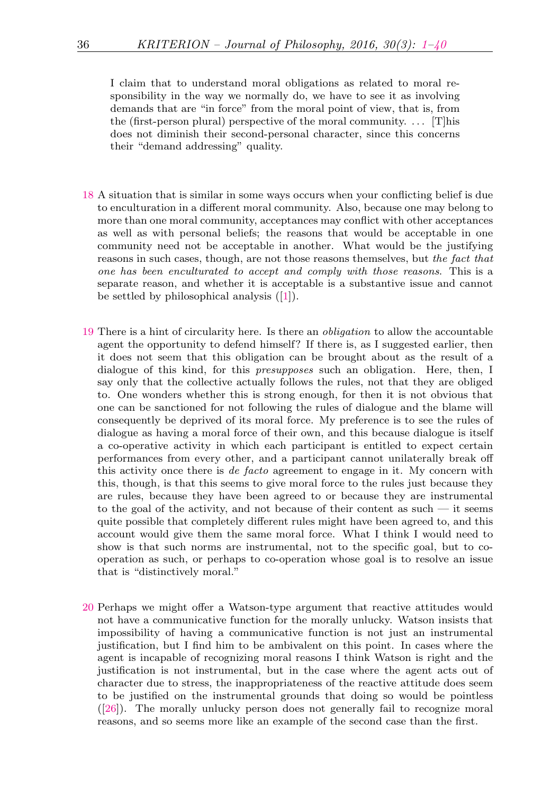I claim that to understand moral obligations as related to moral responsibility in the way we normally do, we have to see it as involving demands that are "in force" from the moral point of view, that is, from the (first-person plural) perspective of the moral community.  $\dots$  [T]his does not diminish their second-personal character, since this concerns their "demand addressing" quality.

- <span id="page-35-0"></span>[18](#page-28-0) A situation that is similar in some ways occurs when your conflicting belief is due to enculturation in a different moral community. Also, because one may belong to more than one moral community, acceptances may conflict with other acceptances as well as with personal beliefs; the reasons that would be acceptable in one community need not be acceptable in another. What would be the justifying reasons in such cases, though, are not those reasons themselves, but the fact that one has been enculturated to accept and comply with those reasons. This is a separate reason, and whether it is acceptable is a substantive issue and cannot be settled by philosophical analysis ([\[1\]](#page-36-5)).
- <span id="page-35-1"></span>[19](#page-29-0) There is a hint of circularity here. Is there an obligation to allow the accountable agent the opportunity to defend himself? If there is, as I suggested earlier, then it does not seem that this obligation can be brought about as the result of a dialogue of this kind, for this presupposes such an obligation. Here, then, I say only that the collective actually follows the rules, not that they are obliged to. One wonders whether this is strong enough, for then it is not obvious that one can be sanctioned for not following the rules of dialogue and the blame will consequently be deprived of its moral force. My preference is to see the rules of dialogue as having a moral force of their own, and this because dialogue is itself a co-operative activity in which each participant is entitled to expect certain performances from every other, and a participant cannot unilaterally break off this activity once there is de facto agreement to engage in it. My concern with this, though, is that this seems to give moral force to the rules just because they are rules, because they have been agreed to or because they are instrumental to the goal of the activity, and not because of their content as such  $-$  it seems quite possible that completely different rules might have been agreed to, and this account would give them the same moral force. What I think I would need to show is that such norms are instrumental, not to the specific goal, but to cooperation as such, or perhaps to co-operation whose goal is to resolve an issue that is "distinctively moral."
- <span id="page-35-2"></span>[20](#page-29-1) Perhaps we might offer a Watson-type argument that reactive attitudes would not have a communicative function for the morally unlucky. Watson insists that impossibility of having a communicative function is not just an instrumental justification, but I find him to be ambivalent on this point. In cases where the agent is incapable of recognizing moral reasons I think Watson is right and the justification is not instrumental, but in the case where the agent acts out of character due to stress, the inappropriateness of the reactive attitude does seem to be justified on the instrumental grounds that doing so would be pointless ([\[26\]](#page-38-2)). The morally unlucky person does not generally fail to recognize moral reasons, and so seems more like an example of the second case than the first.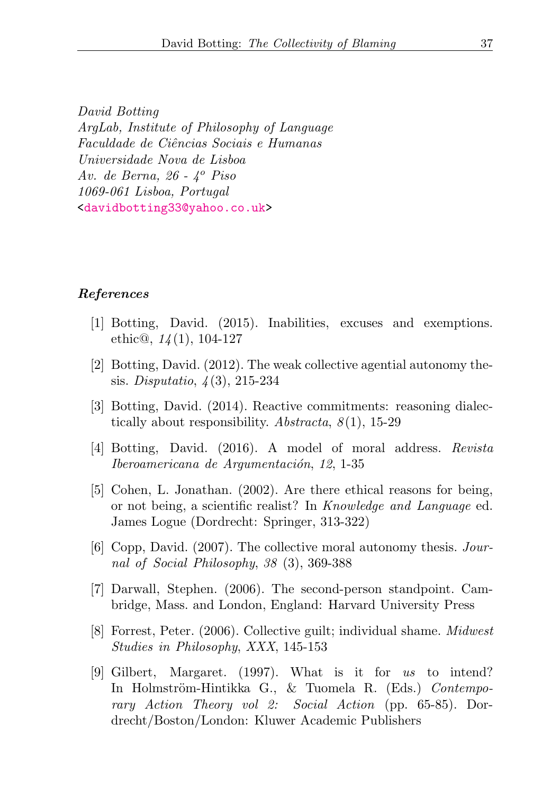David Botting ArgLab, Institute of Philosophy of Language Faculdade de Ciˆencias Sociais e Humanas Universidade Nova de Lisboa Av. de Berna,  $26 - 4^{\circ}$  Piso 1069-061 Lisboa, Portugal [<davidbotting33@yahoo.co.uk>](mailto:davidbotting33@yahoo.co.uk)

## <span id="page-36-0"></span>References

- <span id="page-36-5"></span>[1] Botting, David. (2015). Inabilities, excuses and exemptions. ethic@,  $14(1)$ , 104-127
- <span id="page-36-2"></span>[2] Botting, David. (2012). The weak collective agential autonomy thesis. Disputatio, 4 (3), 215-234
- <span id="page-36-8"></span>[3] Botting, David. (2014). Reactive commitments: reasoning dialectically about responsibility.  $Abstracta, 8(1), 15-29$
- <span id="page-36-6"></span>[4] Botting, David. (2016). A model of moral address. Revista Iberoamericana de Argumentación, 12, 1-35
- <span id="page-36-7"></span>[5] Cohen, L. Jonathan. (2002). Are there ethical reasons for being, or not being, a scientific realist? In Knowledge and Language ed. James Logue (Dordrecht: Springer, 313-322)
- <span id="page-36-1"></span>[6] Copp, David. (2007). The collective moral autonomy thesis. Journal of Social Philosophy, 38 (3), 369-388
- <span id="page-36-9"></span>[7] Darwall, Stephen. (2006). The second-person standpoint. Cambridge, Mass. and London, England: Harvard University Press
- <span id="page-36-4"></span>[8] Forrest, Peter. (2006). Collective guilt; individual shame. Midwest Studies in Philosophy, XXX, 145-153
- <span id="page-36-3"></span>[9] Gilbert, Margaret. (1997). What is it for us to intend? In Holmström-Hintikka G., & Tuomela R. (Eds.) Contemporary Action Theory vol 2: Social Action (pp. 65-85). Dordrecht/Boston/London: Kluwer Academic Publishers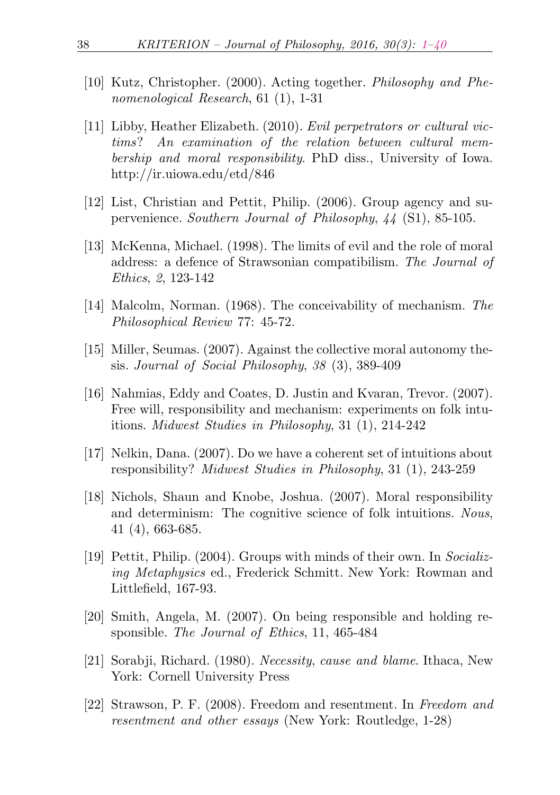- <span id="page-37-4"></span>[10] Kutz, Christopher. (2000). Acting together. Philosophy and Phenomenological Research, 61 (1), 1-31
- <span id="page-37-7"></span>[11] Libby, Heather Elizabeth. (2010). Evil perpetrators or cultural victims? An examination of the relation between cultural membership and moral responsibility. PhD diss., University of Iowa. http://ir.uiowa.edu/etd/846
- <span id="page-37-1"></span>[12] List, Christian and Pettit, Philip. (2006). Group agency and supervenience. Southern Journal of Philosophy, 44 (S1), 85-105.
- [13] McKenna, Michael. (1998). The limits of evil and the role of moral address: a defence of Strawsonian compatibilism. The Journal of Ethics, 2, 123-142
- <span id="page-37-5"></span>[14] Malcolm, Norman. (1968). The conceivability of mechanism. The Philosophical Review 77: 45-72.
- [15] Miller, Seumas. (2007). Against the collective moral autonomy thesis. Journal of Social Philosophy, 38 (3), 389-409
- <span id="page-37-8"></span>[16] Nahmias, Eddy and Coates, D. Justin and Kvaran, Trevor. (2007). Free will, responsibility and mechanism: experiments on folk intuitions. Midwest Studies in Philosophy, 31 (1), 214-242
- <span id="page-37-10"></span>[17] Nelkin, Dana. (2007). Do we have a coherent set of intuitions about responsibility? Midwest Studies in Philosophy, 31 (1), 243-259
- <span id="page-37-9"></span>[18] Nichols, Shaun and Knobe, Joshua. (2007). Moral responsibility and determinism: The cognitive science of folk intuitions. Nous, 41 (4), 663-685.
- <span id="page-37-2"></span>[19] Pettit, Philip. (2004). Groups with minds of their own. In Socializing Metaphysics ed., Frederick Schmitt. New York: Rowman and Littlefield, 167-93.
- <span id="page-37-3"></span>[20] Smith, Angela, M. (2007). On being responsible and holding responsible. The Journal of Ethics, 11, 465-484
- <span id="page-37-6"></span>[21] Sorabji, Richard. (1980). Necessity, cause and blame. Ithaca, New York: Cornell University Press
- <span id="page-37-0"></span>[22] Strawson, P. F. (2008). Freedom and resentment. In Freedom and resentment and other essays (New York: Routledge, 1-28)